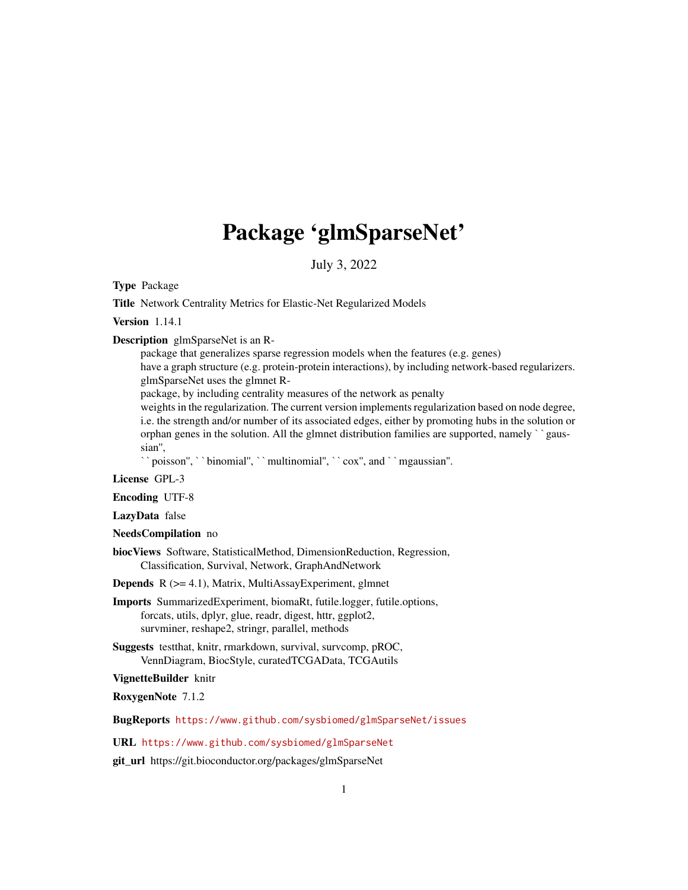# Package 'glmSparseNet'

July 3, 2022

Type Package

Title Network Centrality Metrics for Elastic-Net Regularized Models

Version 1.14.1

Description glmSparseNet is an R-

package that generalizes sparse regression models when the features (e.g. genes) have a graph structure (e.g. protein-protein interactions), by including network-based regularizers. glmSparseNet uses the glmnet R-

package, by including centrality measures of the network as penalty

package, by including echitatity incasures of the network as penatry<br>weights in the regularization. The current version implements regularization based on node degree,<br>i.e. the strength and/or number of its associated edge i.e. the strength and/or number of its associated edges, either by promoting hubs in the solution or sian'', orphan genes in the solution. All the glmnet distribution families are supported, namely "gaus-

poisson'', ``binomial'', ``multinomial'', ``cox'', and ``mgaussian''.

License GPL-3

Encoding UTF-8

LazyData false

NeedsCompilation no

biocViews Software, StatisticalMethod, DimensionReduction, Regression, Classification, Survival, Network, GraphAndNetwork

Depends R (>= 4.1), Matrix, MultiAssayExperiment, glmnet

- Imports SummarizedExperiment, biomaRt, futile.logger, futile.options, forcats, utils, dplyr, glue, readr, digest, httr, ggplot2, survminer, reshape2, stringr, parallel, methods
- Suggests testthat, knitr, rmarkdown, survival, survcomp, pROC, VennDiagram, BiocStyle, curatedTCGAData, TCGAutils

#### VignetteBuilder knitr

RoxygenNote 7.1.2

BugReports <https://www.github.com/sysbiomed/glmSparseNet/issues>

## URL <https://www.github.com/sysbiomed/glmSparseNet>

git\_url https://git.bioconductor.org/packages/glmSparseNet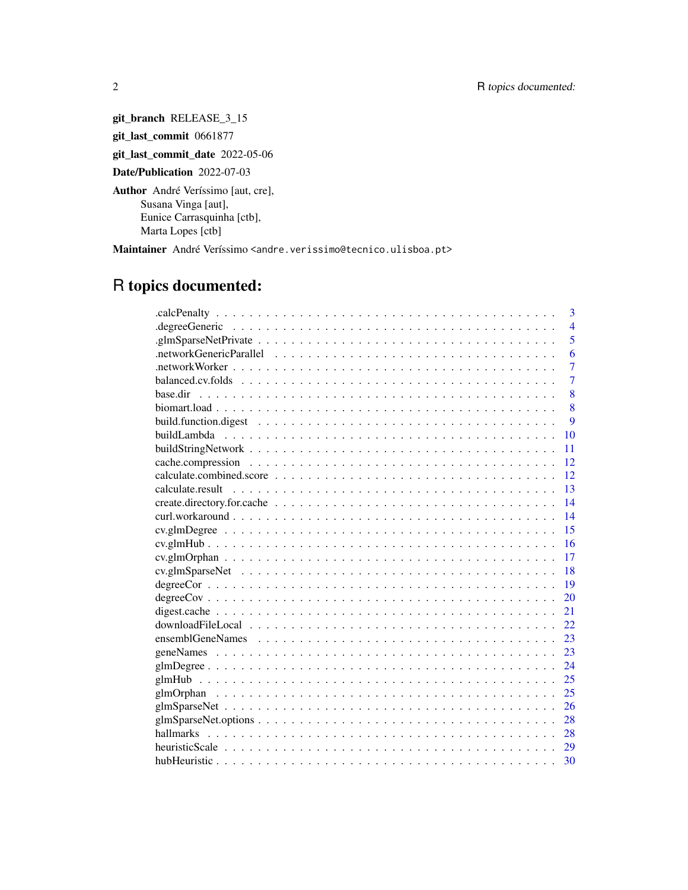git\_branch RELEASE\_3\_15 git\_last\_commit 0661877 git\_last\_commit\_date 2022-05-06 Date/Publication 2022-07-03 Author André Veríssimo [aut, cre], Susana Vinga [aut], Eunice Carrasquinha [ctb], Marta Lopes [ctb]

Maintainer André Veríssimo <andre.verissimo@tecnico.ulisboa.pt>

# R topics documented:

| 3                                                                                                                             |  |
|-------------------------------------------------------------------------------------------------------------------------------|--|
| $\overline{4}$                                                                                                                |  |
| $\overline{5}$                                                                                                                |  |
| 6                                                                                                                             |  |
| $\overline{7}$                                                                                                                |  |
| $\overline{7}$                                                                                                                |  |
| 8                                                                                                                             |  |
| 8                                                                                                                             |  |
| $\mathbf Q$                                                                                                                   |  |
| 10                                                                                                                            |  |
| 11                                                                                                                            |  |
| 12                                                                                                                            |  |
| 12                                                                                                                            |  |
| 13                                                                                                                            |  |
| 14                                                                                                                            |  |
| 14                                                                                                                            |  |
| 15                                                                                                                            |  |
| 16                                                                                                                            |  |
| 17<br>$\ncv\nglmOrphan \dots \dots \dots \dots \dots \dots \dots \dots \dots \dots \dots \dots \dots \dots \dots \dots \dots$ |  |
| 18                                                                                                                            |  |
| 19                                                                                                                            |  |
| 20                                                                                                                            |  |
| 21                                                                                                                            |  |
| 22.                                                                                                                           |  |
| 23                                                                                                                            |  |
| 23                                                                                                                            |  |
| 24                                                                                                                            |  |
| 25                                                                                                                            |  |
| 25                                                                                                                            |  |
| 26                                                                                                                            |  |
| 28                                                                                                                            |  |
| 28                                                                                                                            |  |
|                                                                                                                               |  |
| 30                                                                                                                            |  |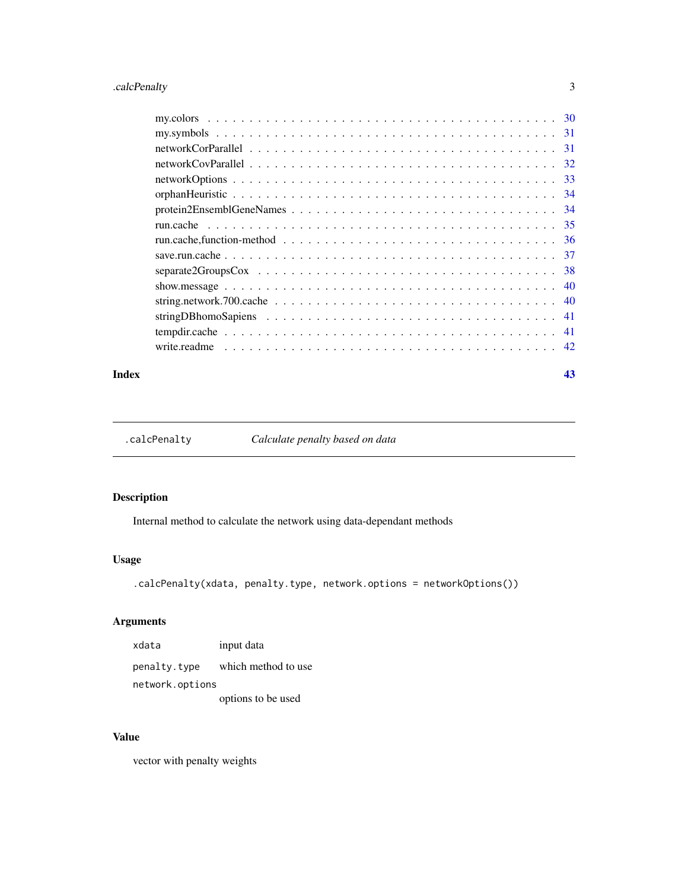## <span id="page-2-0"></span>.calcPenalty 3

#### **Index** [43](#page-42-0)

.calcPenalty *Calculate penalty based on data*

## Description

Internal method to calculate the network using data-dependant methods

#### Usage

.calcPenalty(xdata, penalty.type, network.options = networkOptions())

## Arguments

xdata input data penalty.type which method to use network.options options to be used

## Value

vector with penalty weights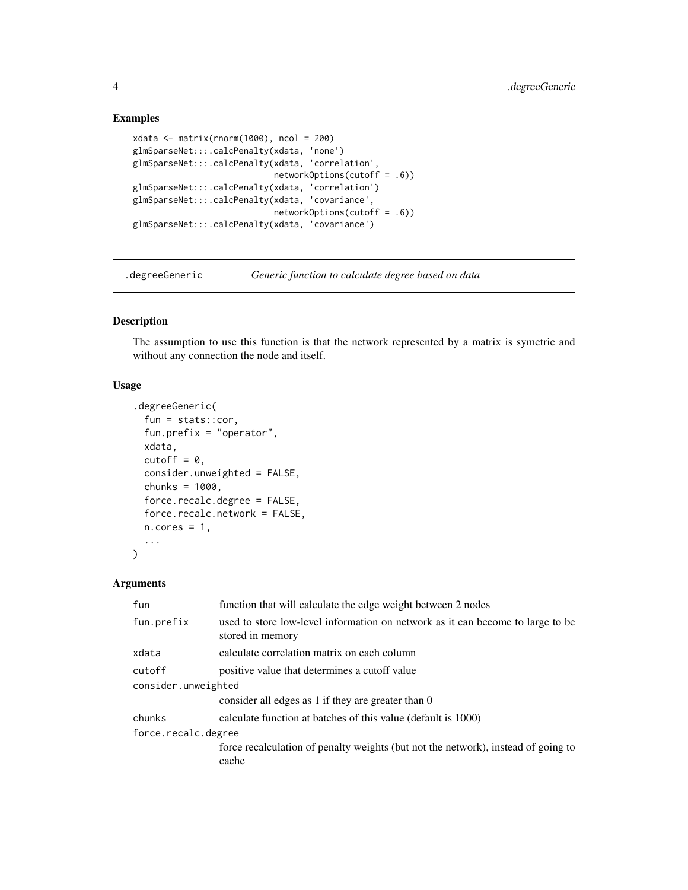#### Examples

```
xdata <- matrix(rnorm(1000), ncol = 200)
glmSparseNet:::.calcPenalty(xdata, 'none')
glmSparseNet:::.calcPenalty(xdata, 'correlation',
                           networkOptions(cutoff = .6))
glmSparseNet:::.calcPenalty(xdata, 'correlation')
glmSparseNet:::.calcPenalty(xdata, 'covariance',
                            networkOptions(cutoff = .6))
glmSparseNet:::.calcPenalty(xdata, 'covariance')
```
.degreeGeneric *Generic function to calculate degree based on data*

## Description

The assumption to use this function is that the network represented by a matrix is symetric and without any connection the node and itself.

#### Usage

```
.degreeGeneric(
  fun = stats::cor,
  fun.prefix = "operator",
  xdata,
  cutoff = 0,
  consider.unweighted = FALSE,
  chunks = 1000,
  force.recalc.degree = FALSE,
  force.recalc.network = FALSE,
 n.cores = 1,...
)
```
#### Arguments

| function that will calculate the edge weight between 2 nodes                                       |  |  |
|----------------------------------------------------------------------------------------------------|--|--|
| used to store low-level information on network as it can become to large to be<br>stored in memory |  |  |
| calculate correlation matrix on each column                                                        |  |  |
| positive value that determines a cutoff value                                                      |  |  |
| consider.unweighted                                                                                |  |  |
| consider all edges as 1 if they are greater than 0                                                 |  |  |
| calculate function at batches of this value (default is 1000)                                      |  |  |
| force.recalc.degree                                                                                |  |  |
| force recalculation of penalty weights (but not the network), instead of going to<br>cache         |  |  |
|                                                                                                    |  |  |

<span id="page-3-0"></span>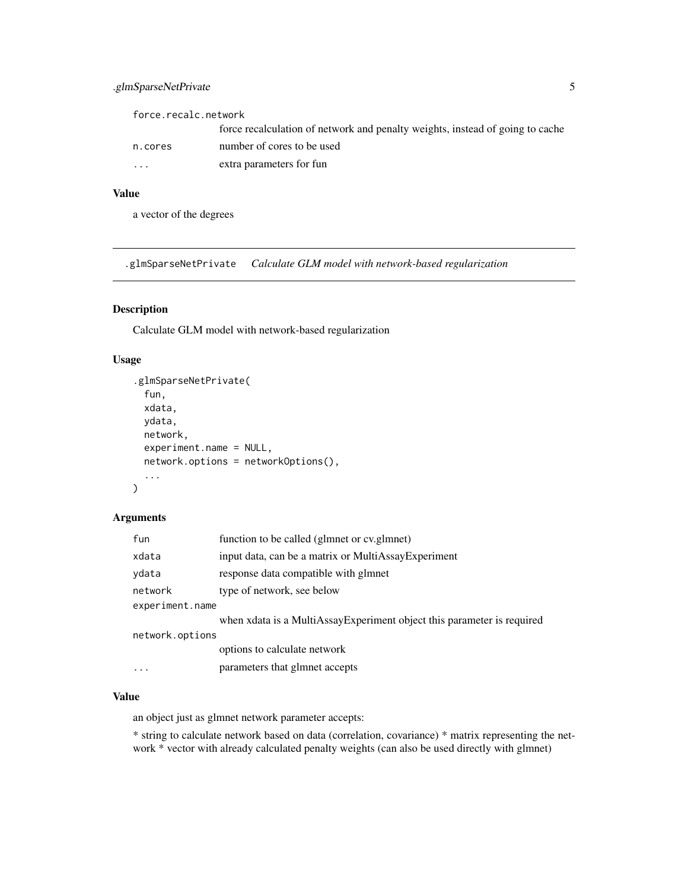## <span id="page-4-0"></span>.glmSparseNetPrivate 5

force.recalc.network

|                         | force recalculation of network and penalty weights, instead of going to cache |
|-------------------------|-------------------------------------------------------------------------------|
| n.cores                 | number of cores to be used                                                    |
| $\cdot$ $\cdot$ $\cdot$ | extra parameters for fun                                                      |

#### Value

a vector of the degrees

.glmSparseNetPrivate *Calculate GLM model with network-based regularization*

## Description

Calculate GLM model with network-based regularization

## Usage

```
.glmSparseNetPrivate(
  fun,
  xdata,
 ydata,
 network,
 experiment.name = NULL,
 network.options = networkOptions(),
  ...
)
```
## Arguments

| fun             | function to be called (glmnet or cv.glmnet)                            |  |
|-----------------|------------------------------------------------------------------------|--|
| xdata           | input data, can be a matrix or MultiAssay Experiment                   |  |
| ydata           | response data compatible with glmnet                                   |  |
| network         | type of network, see below                                             |  |
| experiment.name |                                                                        |  |
|                 | when xdata is a MultiAssayExperiment object this parameter is required |  |
| network.options |                                                                        |  |
|                 | options to calculate network                                           |  |
| $\cdots$        | parameters that glmnet accepts                                         |  |

#### Value

an object just as glmnet network parameter accepts:

\* string to calculate network based on data (correlation, covariance) \* matrix representing the network \* vector with already calculated penalty weights (can also be used directly with glmnet)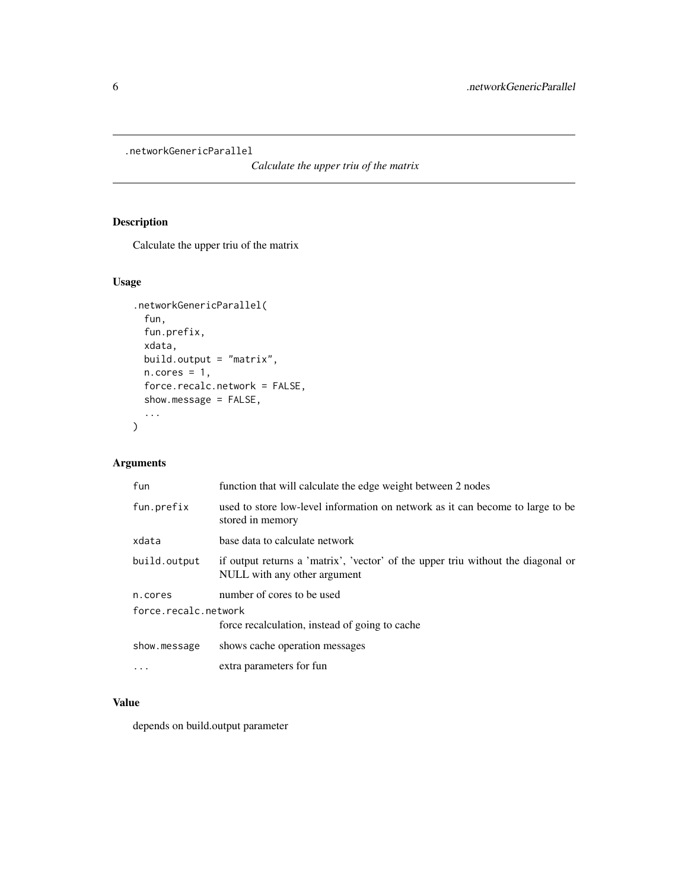<span id="page-5-0"></span>.networkGenericParallel

*Calculate the upper triu of the matrix*

## Description

Calculate the upper triu of the matrix

## Usage

```
.networkGenericParallel(
 fun,
 fun.prefix,
 xdata,
 build.output = "matrix",
 n.core = 1,
 force.recalc.network = FALSE,
 show.message = FALSE,
  ...
)
```
## Arguments

| fun                  | function that will calculate the edge weight between 2 nodes                                                     |  |
|----------------------|------------------------------------------------------------------------------------------------------------------|--|
| fun.prefix           | used to store low-level information on network as it can become to large to be<br>stored in memory               |  |
| xdata                | base data to calculate network                                                                                   |  |
| build.output         | if output returns a 'matrix', 'vector' of the upper triu without the diagonal or<br>NULL with any other argument |  |
| n.cores              | number of cores to be used                                                                                       |  |
| force.recalc.network |                                                                                                                  |  |
|                      | force recalculation, instead of going to cache                                                                   |  |
| show.message         | shows cache operation messages                                                                                   |  |
|                      | extra parameters for fun                                                                                         |  |

## Value

depends on build.output parameter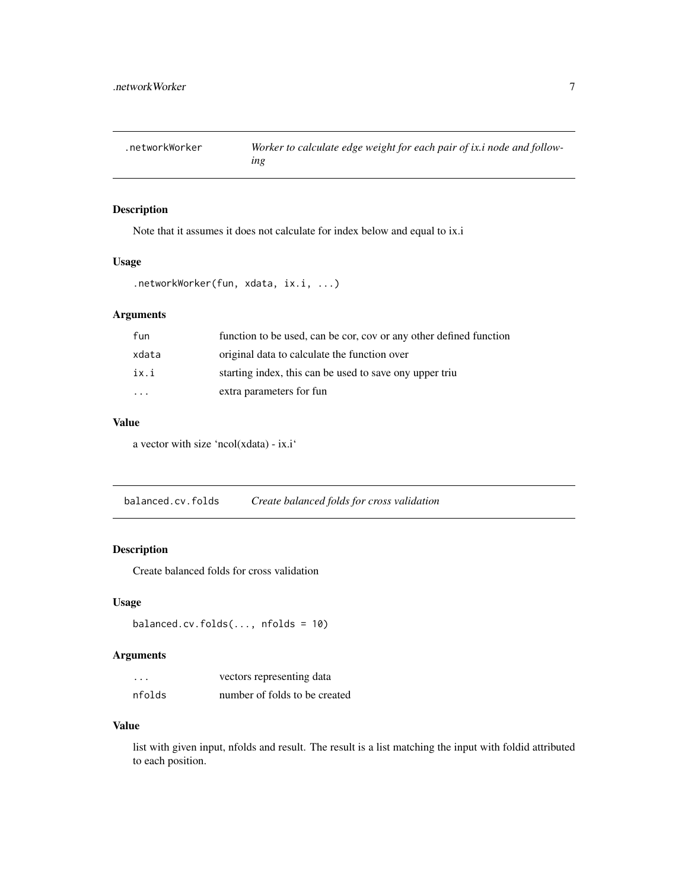<span id="page-6-0"></span>

Note that it assumes it does not calculate for index below and equal to ix.i

#### Usage

```
.networkWorker(fun, xdata, ix.i, ...)
```
## Arguments

| fun                     | function to be used, can be cor, cov or any other defined function |
|-------------------------|--------------------------------------------------------------------|
| xdata                   | original data to calculate the function over                       |
| ix.i                    | starting index, this can be used to save ony upper triu            |
| $\cdot$ $\cdot$ $\cdot$ | extra parameters for fun                                           |

#### Value

a vector with size 'ncol(xdata) - ix.i'

balanced.cv.folds *Create balanced folds for cross validation*

## Description

Create balanced folds for cross validation

## Usage

```
balanced.cv.folds(..., nfolds = 10)
```
## Arguments

| $\cdots$ | vectors representing data     |
|----------|-------------------------------|
| nfolds   | number of folds to be created |

#### Value

list with given input, nfolds and result. The result is a list matching the input with foldid attributed to each position.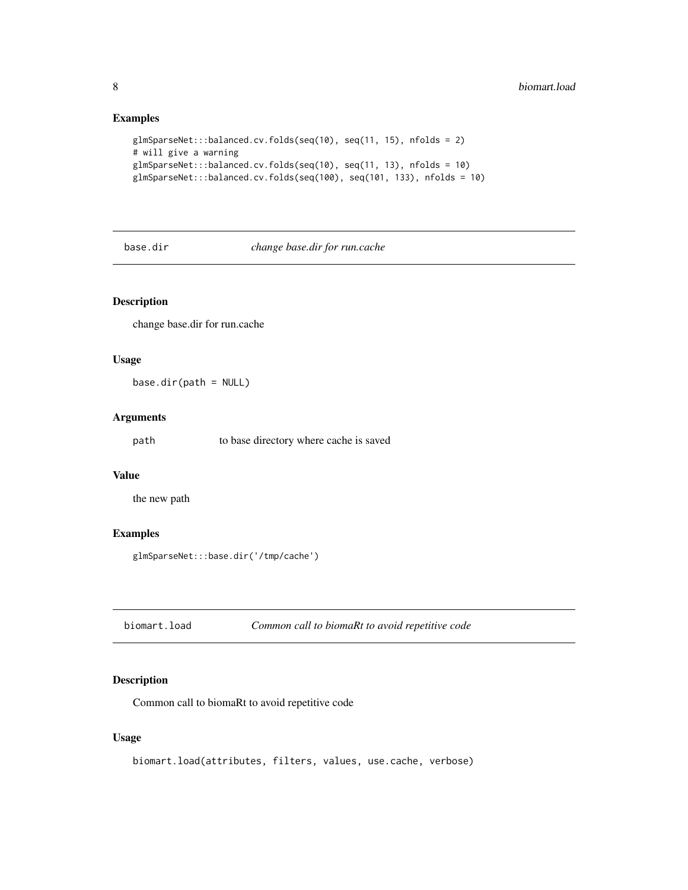## <span id="page-7-0"></span>Examples

```
glmSparseNet:::balanced.cv.folds(seq(10), seq(11, 15), nfolds = 2)
# will give a warning
glmSparseNet:::balanced.cv.folds(seq(10), seq(11, 13), nfolds = 10)
glmSparseNet:::balanced.cv.folds(seq(100), seq(101, 133), nfolds = 10)
```
base.dir *change base.dir for run.cache*

## Description

change base.dir for run.cache

#### Usage

base.dir(path = NULL)

#### Arguments

path to base directory where cache is saved

## Value

the new path

#### Examples

glmSparseNet:::base.dir('/tmp/cache')

biomart.load *Common call to biomaRt to avoid repetitive code*

## Description

Common call to biomaRt to avoid repetitive code

#### Usage

biomart.load(attributes, filters, values, use.cache, verbose)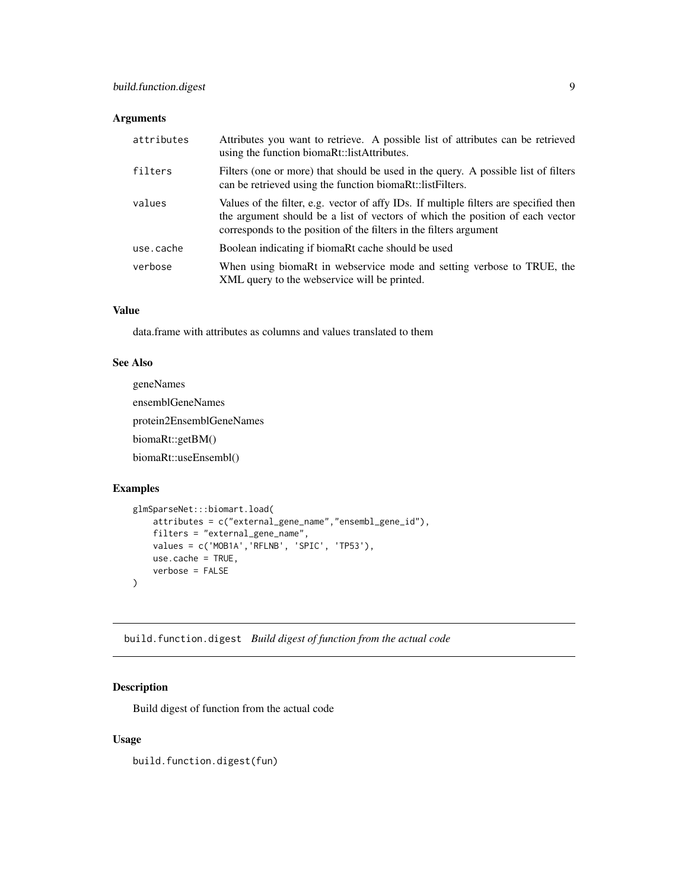#### <span id="page-8-0"></span>Arguments

| attributes | Attributes you want to retrieve. A possible list of attributes can be retrieved<br>using the function biomaRt::listAttributes.                                                                                                               |
|------------|----------------------------------------------------------------------------------------------------------------------------------------------------------------------------------------------------------------------------------------------|
| filters    | Filters (one or more) that should be used in the query. A possible list of filters<br>can be retrieved using the function biomaRt::listFilters.                                                                                              |
| values     | Values of the filter, e.g. vector of affy IDs. If multiple filters are specified then<br>the argument should be a list of vectors of which the position of each vector<br>corresponds to the position of the filters in the filters argument |
| use.cache  | Boolean indicating if biomaRt cache should be used                                                                                                                                                                                           |
| verbose    | When using biomaRt in webservice mode and setting verbose to TRUE, the<br>XML query to the webservice will be printed.                                                                                                                       |

#### Value

data.frame with attributes as columns and values translated to them

#### See Also

```
geneNames
ensemblGeneNames
protein2EnsemblGeneNames
biomaRt::getBM()
biomaRt::useEnsembl()
```
#### Examples

```
glmSparseNet:::biomart.load(
    attributes = c("external_gene_name","ensembl_gene_id"),
    filters = "external_gene_name",
    values = c('MOB1A','RFLNB', 'SPIC', 'TP53'),
    use.cache = TRUE,
    verbose = FALSE
\mathcal{L}
```
build.function.digest *Build digest of function from the actual code*

## Description

Build digest of function from the actual code

#### Usage

build.function.digest(fun)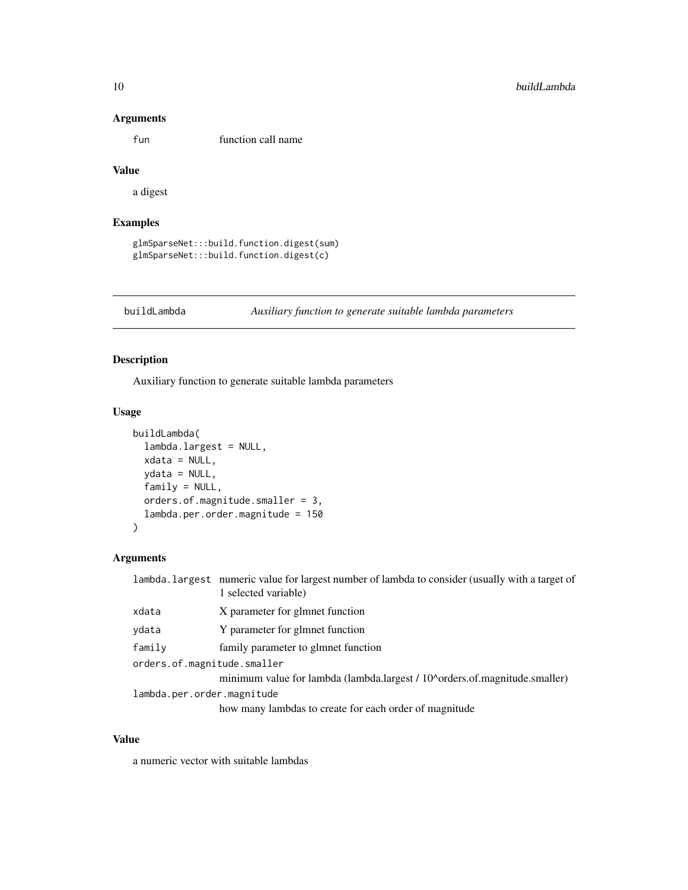#### <span id="page-9-0"></span>Arguments

fun function call name

## Value

a digest

## Examples

glmSparseNet:::build.function.digest(sum) glmSparseNet:::build.function.digest(c)

buildLambda *Auxiliary function to generate suitable lambda parameters*

## Description

Auxiliary function to generate suitable lambda parameters

#### Usage

```
buildLambda(
  lambda.largest = NULL,
  xdata = NULL,ydata = NULL,
  family = NULL,
  orders.of.magnitude.smaller = 3,
  lambda.per.order.magnitude = 150
\mathcal{L}
```
#### Arguments

|                             | lambda.largest numeric value for largest number of lambda to consider (usually with a target of<br>1 selected variable) |  |
|-----------------------------|-------------------------------------------------------------------------------------------------------------------------|--|
| xdata                       | X parameter for glmnet function                                                                                         |  |
| vdata                       | Y parameter for glmnet function                                                                                         |  |
| family                      | family parameter to glmnet function                                                                                     |  |
| orders.of.magnitude.smaller |                                                                                                                         |  |
|                             | minimum value for lambda (lambda.largest / 10^orders.of.magnitude.smaller)                                              |  |
| lambda.per.order.magnitude  |                                                                                                                         |  |
|                             | how many lambdas to create for each order of magnitude                                                                  |  |

#### Value

a numeric vector with suitable lambdas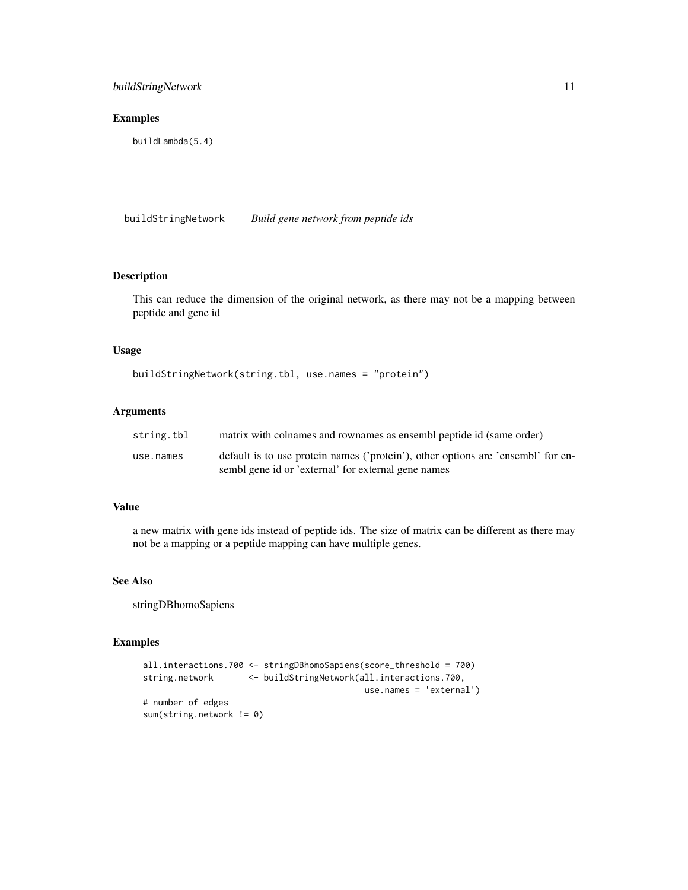## <span id="page-10-0"></span>buildStringNetwork 11

#### Examples

buildLambda(5.4)

buildStringNetwork *Build gene network from peptide ids*

#### Description

This can reduce the dimension of the original network, as there may not be a mapping between peptide and gene id

#### Usage

```
buildStringNetwork(string.tbl, use.names = "protein")
```
#### Arguments

| string.tbl | matrix with colnames and rownames as ensembl peptide id (same order)             |
|------------|----------------------------------------------------------------------------------|
| use.names  | default is to use protein names ('protein'), other options are 'ensembl' for en- |
|            | sembl gene id or 'external' for external gene names                              |

#### Value

a new matrix with gene ids instead of peptide ids. The size of matrix can be different as there may not be a mapping or a peptide mapping can have multiple genes.

#### See Also

stringDBhomoSapiens

```
all.interactions.700 <- stringDBhomoSapiens(score_threshold = 700)
string.network <- buildStringNetwork(all.interactions.700,
                                          use.names = 'external')
# number of edges
sum(string.network != 0)
```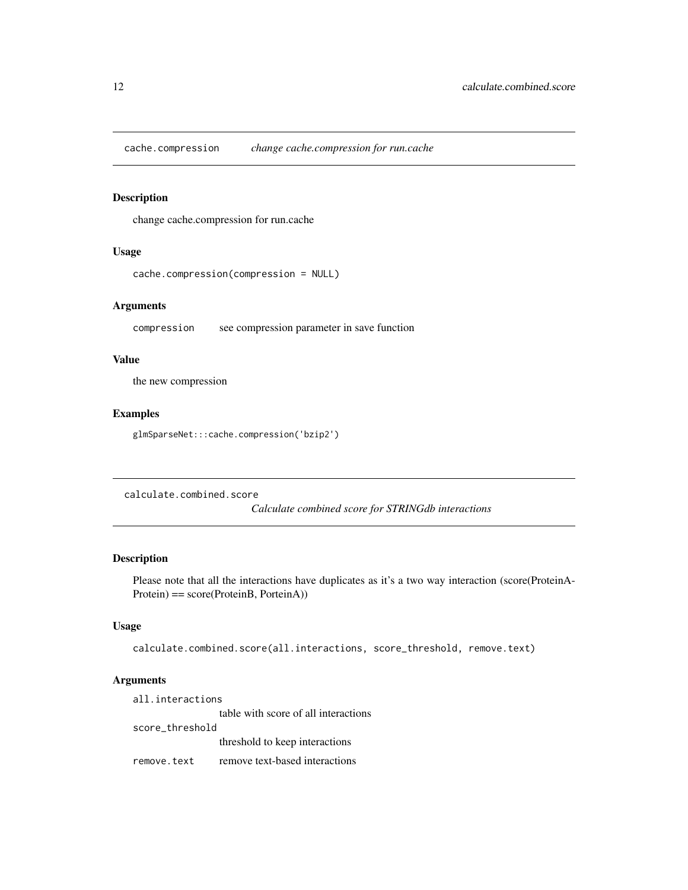<span id="page-11-0"></span>cache.compression *change cache.compression for run.cache*

## Description

change cache.compression for run.cache

#### Usage

```
cache.compression(compression = NULL)
```
#### Arguments

compression see compression parameter in save function

#### Value

the new compression

#### Examples

glmSparseNet:::cache.compression('bzip2')

calculate.combined.score

*Calculate combined score for STRINGdb interactions*

#### Description

Please note that all the interactions have duplicates as it's a two way interaction (score(ProteinA-Protein) == score(ProteinB, PorteinA))

## Usage

calculate.combined.score(all.interactions, score\_threshold, remove.text)

#### Arguments

all.interactions table with score of all interactions score\_threshold threshold to keep interactions remove.text remove text-based interactions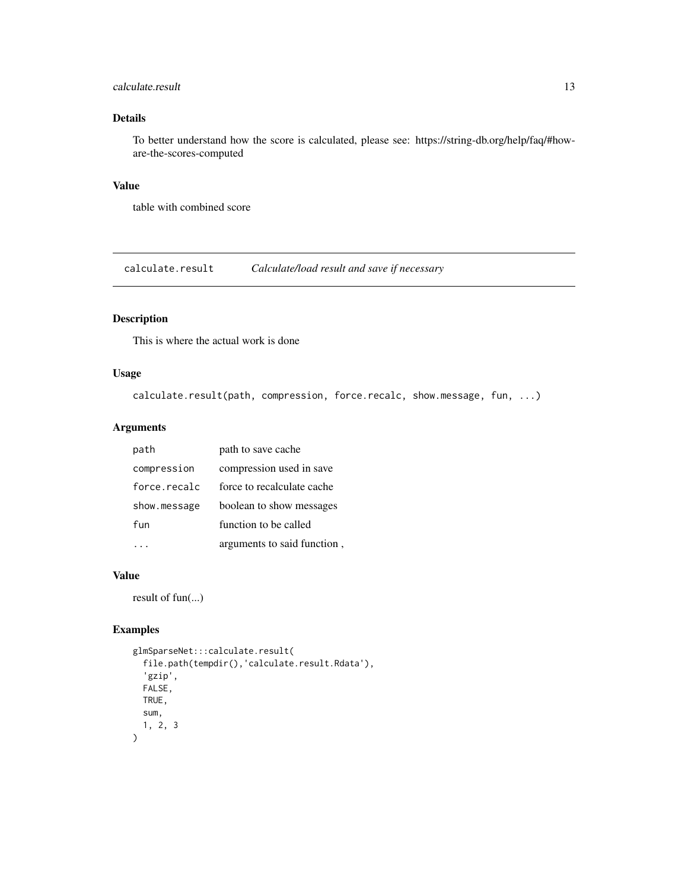#### <span id="page-12-0"></span>calculate.result that the contract of the contract of the contract of the contract of the contract of the contract of the contract of the contract of the contract of the contract of the contract of the contract of the cont

## Details

To better understand how the score is calculated, please see: https://string-db.org/help/faq/#howare-the-scores-computed

## Value

table with combined score

calculate.result *Calculate/load result and save if necessary*

## Description

This is where the actual work is done

#### Usage

```
calculate.result(path, compression, force.recalc, show.message, fun, ...)
```
## Arguments

| path         | path to save cache          |
|--------------|-----------------------------|
| compression  | compression used in save    |
| force.recalc | force to recalculate cache  |
| show.message | boolean to show messages    |
| fun          | function to be called       |
|              | arguments to said function, |

## Value

result of fun(...)

```
glmSparseNet:::calculate.result(
  file.path(tempdir(),'calculate.result.Rdata'),
  'gzip',
  FALSE,
  TRUE,
  sum,
  1, 2, 3
)
```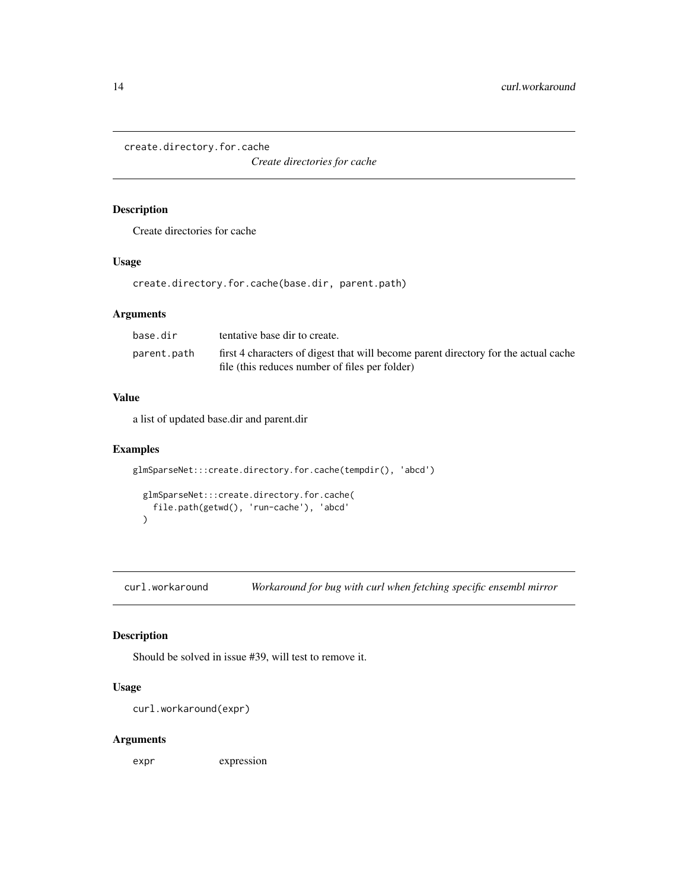<span id="page-13-0"></span>create.directory.for.cache

*Create directories for cache*

#### Description

Create directories for cache

#### Usage

create.directory.for.cache(base.dir, parent.path)

## Arguments

| base.dir    | tentative base dir to create.                                                       |
|-------------|-------------------------------------------------------------------------------------|
| parent.path | first 4 characters of digest that will become parent directory for the actual cache |
|             | file (this reduces number of files per folder)                                      |

#### Value

a list of updated base.dir and parent.dir

#### Examples

```
glmSparseNet:::create.directory.for.cache(tempdir(), 'abcd')
 glmSparseNet:::create.directory.for.cache(
   file.path(getwd(), 'run-cache'), 'abcd'
 )
```
curl.workaround *Workaround for bug with curl when fetching specific ensembl mirror*

## Description

Should be solved in issue #39, will test to remove it.

## Usage

```
curl.workaround(expr)
```
## Arguments

expr expression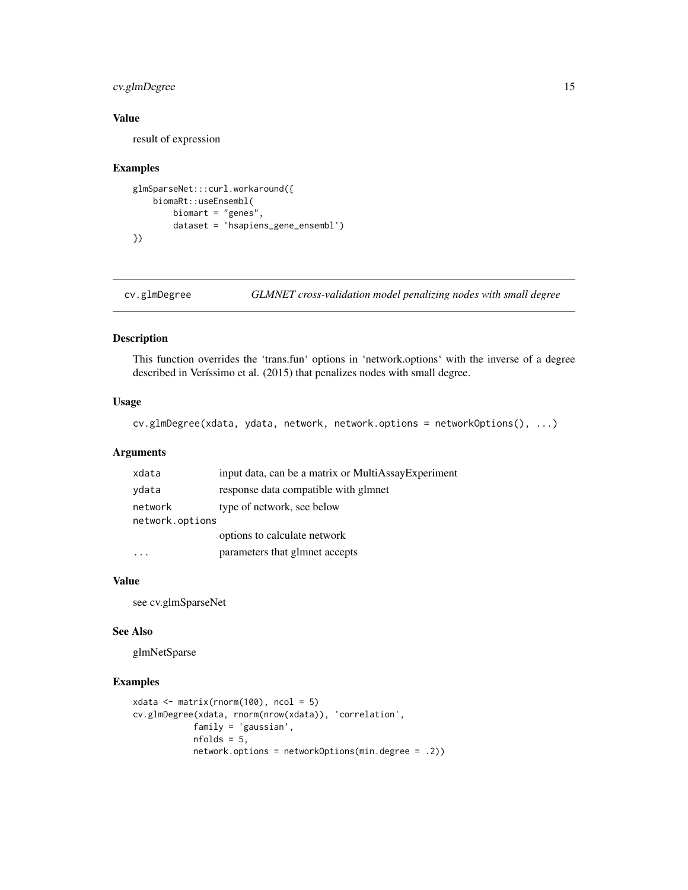## <span id="page-14-0"></span>cv.glmDegree 15

## Value

result of expression

#### Examples

```
glmSparseNet:::curl.workaround({
   biomaRt::useEnsembl(
       biomart = "genes",
        dataset = 'hsapiens_gene_ensembl')
})
```
cv.glmDegree *GLMNET cross-validation model penalizing nodes with small degree*

#### Description

This function overrides the 'trans.fun' options in 'network.options' with the inverse of a degree described in Veríssimo et al. (2015) that penalizes nodes with small degree.

#### Usage

```
cv.glmDegree(xdata, ydata, network, network.options = networkOptions(), ...)
```
## Arguments

| xdata           | input data, can be a matrix or MultiAssayExperiment |  |
|-----------------|-----------------------------------------------------|--|
| ydata           | response data compatible with glmnet                |  |
| network         | type of network, see below                          |  |
| network.options |                                                     |  |
|                 | options to calculate network                        |  |
|                 | parameters that glmnet accepts                      |  |

#### Value

see cv.glmSparseNet

#### See Also

glmNetSparse

```
xdata \leftarrow matrix(rnorm(100), ncol = 5)cv.glmDegree(xdata, rnorm(nrow(xdata)), 'correlation',
            family = 'gaussian',
            nfolds = 5,
            network.options = networkOptions(min.degree = .2))
```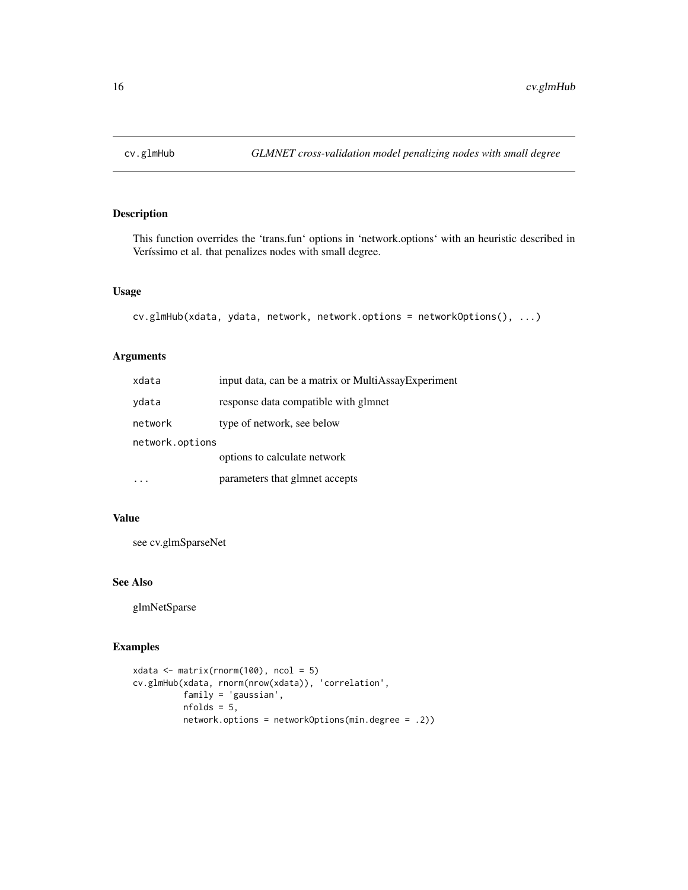<span id="page-15-0"></span>

This function overrides the 'trans.fun' options in 'network.options' with an heuristic described in Veríssimo et al. that penalizes nodes with small degree.

#### Usage

```
cv.glmHub(xdata, ydata, network, network.options = networkOptions(), ...)
```
## Arguments

| xdata           | input data, can be a matrix or MultiAssayExperiment |  |
|-----------------|-----------------------------------------------------|--|
| vdata           | response data compatible with glmnet                |  |
| network         | type of network, see below                          |  |
| network.options |                                                     |  |
|                 | options to calculate network                        |  |
|                 | parameters that glmnet accepts                      |  |

#### Value

see cv.glmSparseNet

#### See Also

glmNetSparse

```
xdata \leftarrow matrix(rnorm(100), ncol = 5)cv.glmHub(xdata, rnorm(nrow(xdata)), 'correlation',
          family = 'gaussian',
          nfolds = 5,
          network.options = networkOptions(min.degree = .2))
```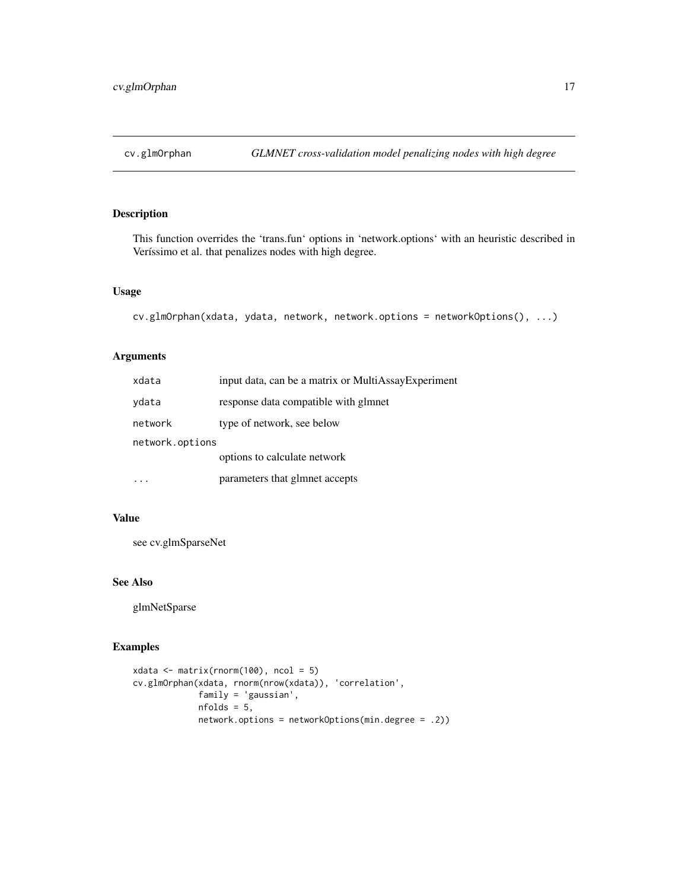<span id="page-16-0"></span>

This function overrides the 'trans.fun' options in 'network.options' with an heuristic described in Veríssimo et al. that penalizes nodes with high degree.

#### Usage

cv.glmOrphan(xdata, ydata, network, network.options = networkOptions(), ...)

## Arguments

| xdata           | input data, can be a matrix or MultiAssayExperiment |  |
|-----------------|-----------------------------------------------------|--|
| vdata           | response data compatible with glmnet                |  |
| network         | type of network, see below                          |  |
| network.options |                                                     |  |
|                 | options to calculate network                        |  |
|                 | parameters that glmnet accepts                      |  |

#### Value

see cv.glmSparseNet

#### See Also

glmNetSparse

```
xdata \leftarrow matrix(rnorm(100), ncol = 5)cv.glmOrphan(xdata, rnorm(nrow(xdata)), 'correlation',
             family = 'gaussian',
             nfolds = 5,
             network.options = networkOptions(min.degree = .2))
```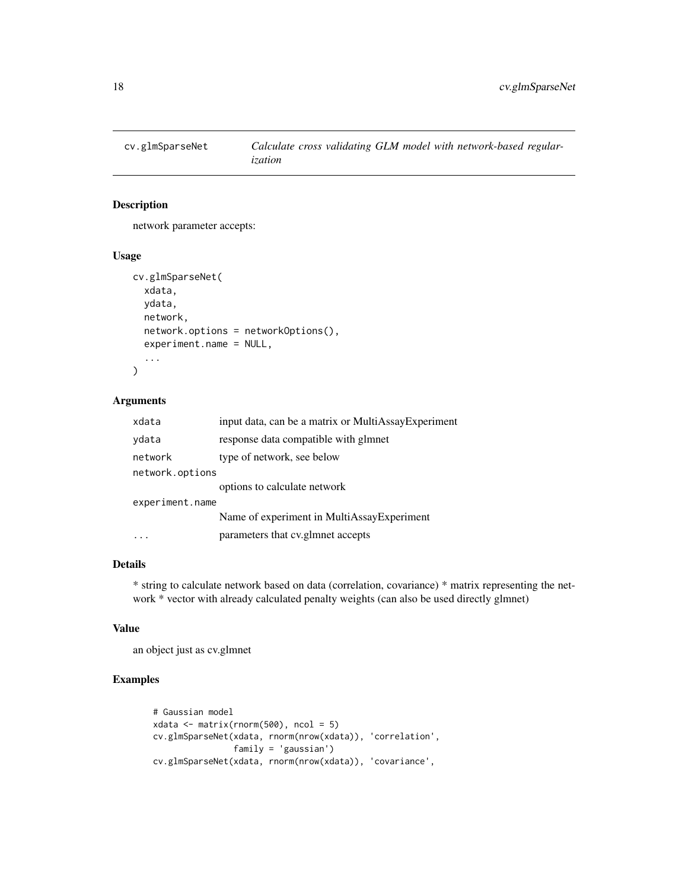<span id="page-17-0"></span>

network parameter accepts:

#### Usage

```
cv.glmSparseNet(
  xdata,
  ydata,
  network,
  network.options = networkOptions(),
  experiment.name = NULL,
  ...
\mathcal{L}
```
## Arguments

| xdata           | input data, can be a matrix or MultiAssayExperiment |  |
|-----------------|-----------------------------------------------------|--|
| ydata           | response data compatible with glmnet                |  |
| network         | type of network, see below                          |  |
| network.options |                                                     |  |
|                 | options to calculate network                        |  |
| experiment.name |                                                     |  |
|                 | Name of experiment in MultiAssayExperiment          |  |
|                 | parameters that cv.glmnet accepts                   |  |

## Details

\* string to calculate network based on data (correlation, covariance) \* matrix representing the network \* vector with already calculated penalty weights (can also be used directly glmnet)

#### Value

an object just as cv.glmnet

```
# Gaussian model
xdata \leftarrow matrix(rnorm(500), ncol = 5)cv.glmSparseNet(xdata, rnorm(nrow(xdata)), 'correlation',
                family = 'gaussian')
cv.glmSparseNet(xdata, rnorm(nrow(xdata)), 'covariance',
```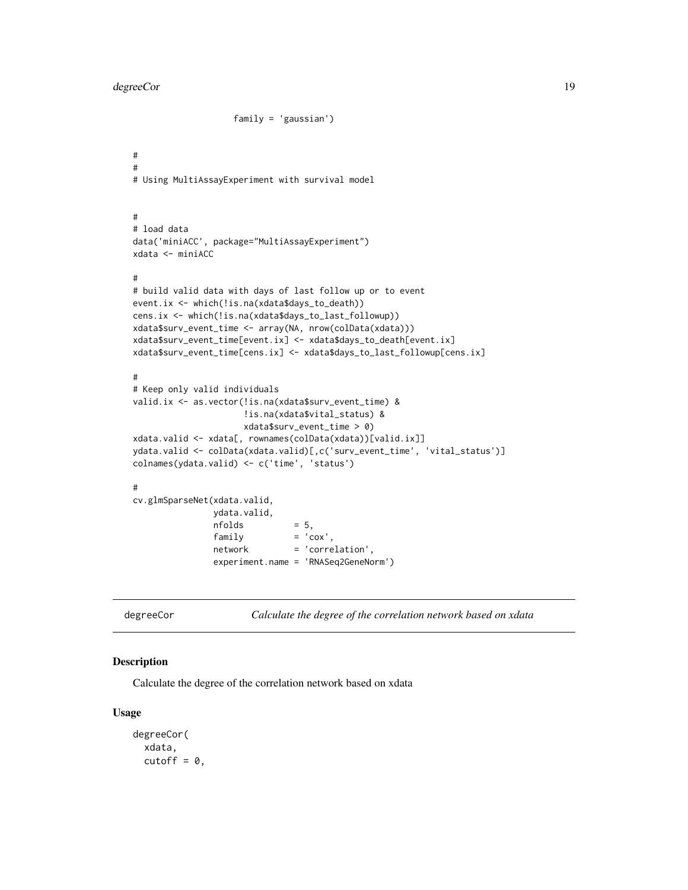#### <span id="page-18-0"></span>degreeCor and the set of the set of the set of the set of the set of the set of the set of the set of the set of the set of the set of the set of the set of the set of the set of the set of the set of the set of the set of

```
family = 'gaussian')
#
#
# Using MultiAssayExperiment with survival model
#
# load data
data('miniACC', package="MultiAssayExperiment")
xdata <- miniACC
#
# build valid data with days of last follow up or to event
event.ix <- which(!is.na(xdata$days_to_death))
cens.ix <- which(!is.na(xdata$days_to_last_followup))
xdata$surv_event_time <- array(NA, nrow(colData(xdata)))
xdata$surv_event_time[event.ix] <- xdata$days_to_death[event.ix]
xdata$surv_event_time[cens.ix] <- xdata$days_to_last_followup[cens.ix]
#
# Keep only valid individuals
valid.ix <- as.vector(!is.na(xdata$surv_event_time) &
                     !is.na(xdata$vital_status) &
                     xdata$surv_event_time > 0)
xdata.valid <- xdata[, rownames(colData(xdata))[valid.ix]]
ydata.valid <- colData(xdata.valid)[,c('surv_event_time', 'vital_status')]
colnames(ydata.valid) <- c('time', 'status')
#
cv.glmSparseNet(xdata.valid,
               ydata.valid,
               nfolds = 5,
               family = 'cov',network = 'correlation',
               experiment.name = 'RNASeq2GeneNorm')
```
degreeCor *Calculate the degree of the correlation network based on xdata*

#### Description

Calculate the degree of the correlation network based on xdata

#### Usage

```
degreeCor(
  xdata,
  cutoff = 0,
```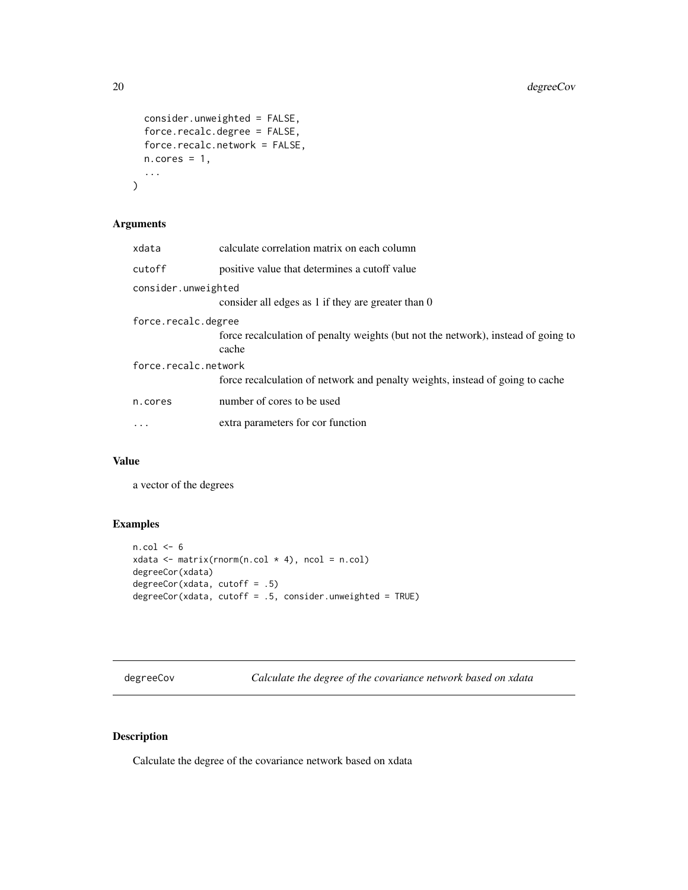```
consider.unweighted = FALSE,
  force.recalc.degree = FALSE,
 force.recalc.network = FALSE,
 n.core = 1,
  ...
)
```
## Arguments

| xdata                | calculate correlation matrix on each column                                                |
|----------------------|--------------------------------------------------------------------------------------------|
| cutoff               | positive value that determines a cutoff value                                              |
| consider.unweighted  | consider all edges as 1 if they are greater than 0                                         |
| force.recalc.degree  | force recalculation of penalty weights (but not the network), instead of going to<br>cache |
| force.recalc.network | force recalculation of network and penalty weights, instead of going to cache              |
| n.cores              | number of cores to be used                                                                 |
| $\ddots$             | extra parameters for cor function                                                          |

#### Value

a vector of the degrees

## Examples

```
n.col < -6xdata \leq matrix(rnorm(n.col * 4), ncol = n.col)
degreeCor(xdata)
degreeCor(xdata, cutoff = .5)
degreeCor(xdata, cutoff = .5, consider.unweighted = TRUE)
```
degreeCov *Calculate the degree of the covariance network based on xdata*

## Description

Calculate the degree of the covariance network based on xdata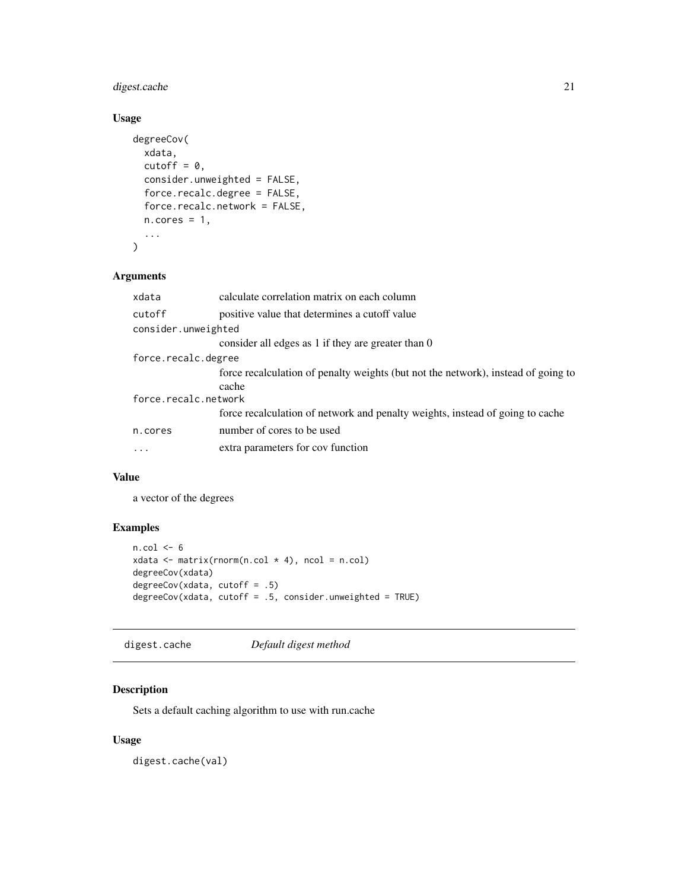## <span id="page-20-0"></span>digest.cache 21

## Usage

```
degreeCov(
 xdata,
  cutoff = 0,
 consider.unweighted = FALSE,
  force.recalc.degree = FALSE,
  force.recalc.network = FALSE,
 n.cores = 1,
  ...
)
```
## Arguments

| xdata                | calculate correlation matrix on each column                                                |  |
|----------------------|--------------------------------------------------------------------------------------------|--|
| cutoff               | positive value that determines a cutoff value                                              |  |
| consider.unweighted  |                                                                                            |  |
|                      | consider all edges as 1 if they are greater than 0                                         |  |
| force.recalc.degree  |                                                                                            |  |
|                      | force recalculation of penalty weights (but not the network), instead of going to<br>cache |  |
| force.recalc.network |                                                                                            |  |
|                      | force recalculation of network and penalty weights, instead of going to cache              |  |
| n.cores              | number of cores to be used                                                                 |  |
| $\ddots$             | extra parameters for cov function                                                          |  |
|                      |                                                                                            |  |

## Value

a vector of the degrees

## Examples

```
n.col <- 6
xdata \leq matrix(rnorm(n.col \neq 4), ncol = n.col)
degreeCov(xdata)
degreeCov(xdata, cutoff = .5)
degreeCov(xdata, cutoff = .5, consider.unweighted = TRUE)
```
digest.cache *Default digest method*

## Description

Sets a default caching algorithm to use with run.cache

## Usage

digest.cache(val)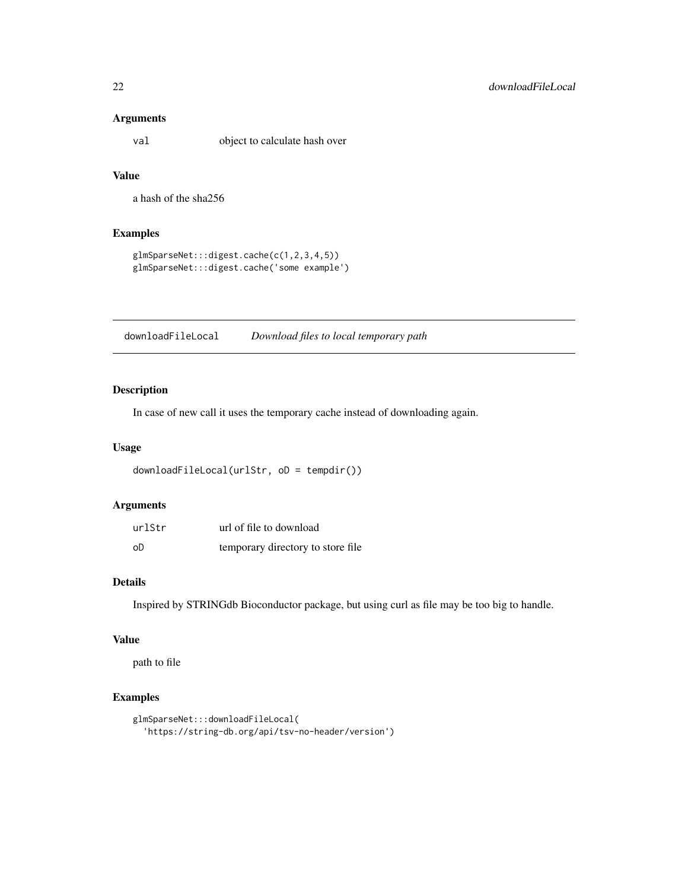#### <span id="page-21-0"></span>Arguments

val object to calculate hash over

## Value

a hash of the sha256

## Examples

```
glmSparseNet:::digest.cache(c(1,2,3,4,5))
glmSparseNet:::digest.cache('some example')
```
downloadFileLocal *Download files to local temporary path*

## Description

In case of new call it uses the temporary cache instead of downloading again.

#### Usage

```
downloadFileLocal(urlStr, oD = tempdir())
```
#### Arguments

| urlStr | url of file to download           |
|--------|-----------------------------------|
| oD     | temporary directory to store file |

#### Details

Inspired by STRINGdb Bioconductor package, but using curl as file may be too big to handle.

#### Value

path to file

```
glmSparseNet:::downloadFileLocal(
  'https://string-db.org/api/tsv-no-header/version')
```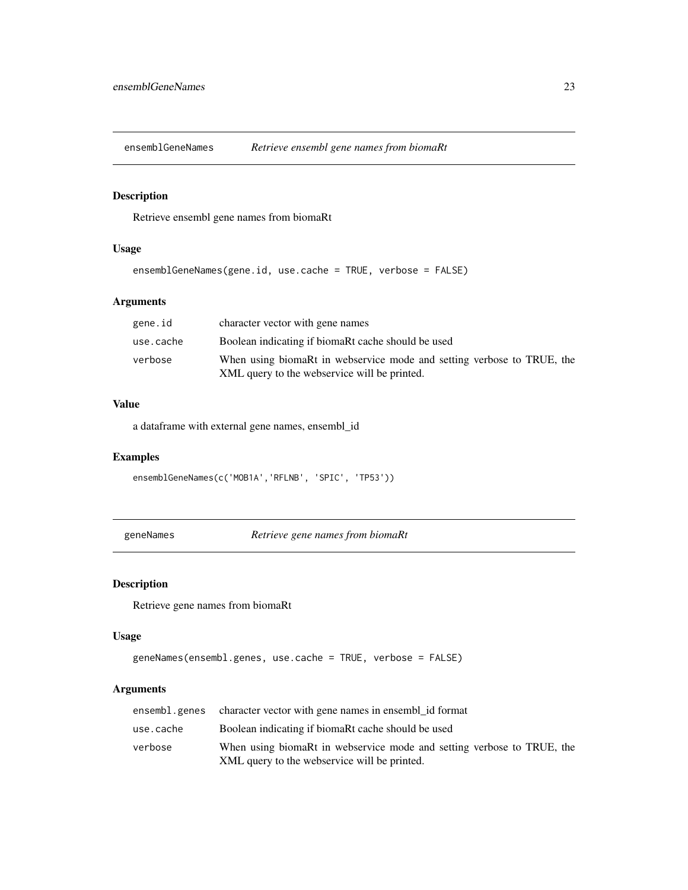<span id="page-22-0"></span>ensemblGeneNames *Retrieve ensembl gene names from biomaRt*

## Description

Retrieve ensembl gene names from biomaRt

#### Usage

```
ensemblGeneNames(gene.id, use.cache = TRUE, verbose = FALSE)
```
## Arguments

| gene.id   | character vector with gene names                                                                                       |
|-----------|------------------------------------------------------------------------------------------------------------------------|
| use.cache | Boolean indicating if biomaRt cache should be used                                                                     |
| verbose   | When using biomaRt in webservice mode and setting verbose to TRUE, the<br>XML query to the webservice will be printed. |

#### Value

a dataframe with external gene names, ensembl\_id

## Examples

```
ensemblGeneNames(c('MOB1A','RFLNB', 'SPIC', 'TP53'))
```
geneNames *Retrieve gene names from biomaRt*

#### Description

Retrieve gene names from biomaRt

## Usage

```
geneNames(ensembl.genes, use.cache = TRUE, verbose = FALSE)
```
#### Arguments

|           | ensembl.genes character vector with gene names in ensemblid format                                                     |
|-----------|------------------------------------------------------------------------------------------------------------------------|
| use.cache | Boolean indicating if biomaRt cache should be used                                                                     |
| verbose   | When using biomaRt in webservice mode and setting verbose to TRUE, the<br>XML query to the webservice will be printed. |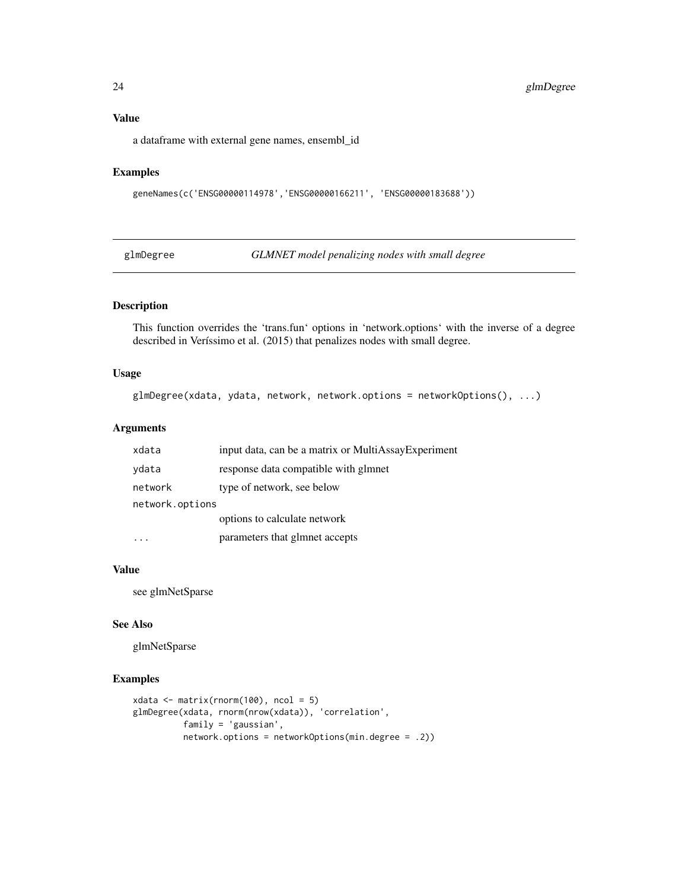#### Value

a dataframe with external gene names, ensembl\_id

## Examples

```
geneNames(c('ENSG00000114978','ENSG00000166211', 'ENSG00000183688'))
```
glmDegree *GLMNET model penalizing nodes with small degree*

## Description

This function overrides the 'trans.fun' options in 'network.options' with the inverse of a degree described in Veríssimo et al. (2015) that penalizes nodes with small degree.

#### Usage

```
glmDegree(xdata, ydata, network, network.options = networkOptions(), ...)
```
## Arguments

| xdata           | input data, can be a matrix or MultiAssayExperiment |  |
|-----------------|-----------------------------------------------------|--|
| ydata           | response data compatible with glmnet                |  |
| network         | type of network, see below                          |  |
| network.options |                                                     |  |
|                 | options to calculate network                        |  |
|                 | parameters that glmnet accepts                      |  |

#### Value

see glmNetSparse

## See Also

glmNetSparse

```
xdata \leftarrow matrix(rnorm(100), ncol = 5)glmDegree(xdata, rnorm(nrow(xdata)), 'correlation',
          family = 'gaussian',
          network.options = networkOptions(min.degree = .2))
```
<span id="page-23-0"></span>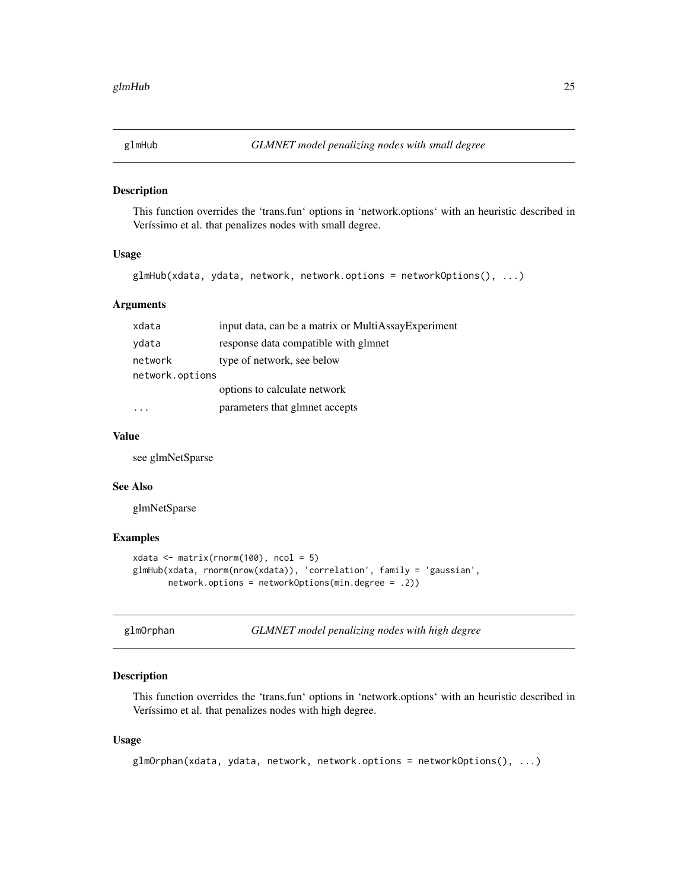<span id="page-24-0"></span>

This function overrides the 'trans.fun' options in 'network.options' with an heuristic described in Veríssimo et al. that penalizes nodes with small degree.

#### Usage

```
glmHub(xdata, ydata, network, network.options = networkOptions(), ...)
```
#### Arguments

| xdata           | input data, can be a matrix or MultiAssayExperiment |  |
|-----------------|-----------------------------------------------------|--|
| ydata           | response data compatible with glmnet                |  |
| network         | type of network, see below                          |  |
| network.options |                                                     |  |
|                 | options to calculate network                        |  |
|                 | parameters that glmnet accepts                      |  |

#### Value

see glmNetSparse

#### See Also

glmNetSparse

## Examples

```
xdata \leftarrow matrix(rnorm(100), ncol = 5)glmHub(xdata, rnorm(nrow(xdata)), 'correlation', family = 'gaussian',
       network.options = networkOptions(min.degree = .2))
```
glmOrphan *GLMNET model penalizing nodes with high degree*

#### Description

This function overrides the 'trans.fun' options in 'network.options' with an heuristic described in Veríssimo et al. that penalizes nodes with high degree.

#### Usage

```
glmOrphan(xdata, ydata, network, network.options = networkOptions(), ...)
```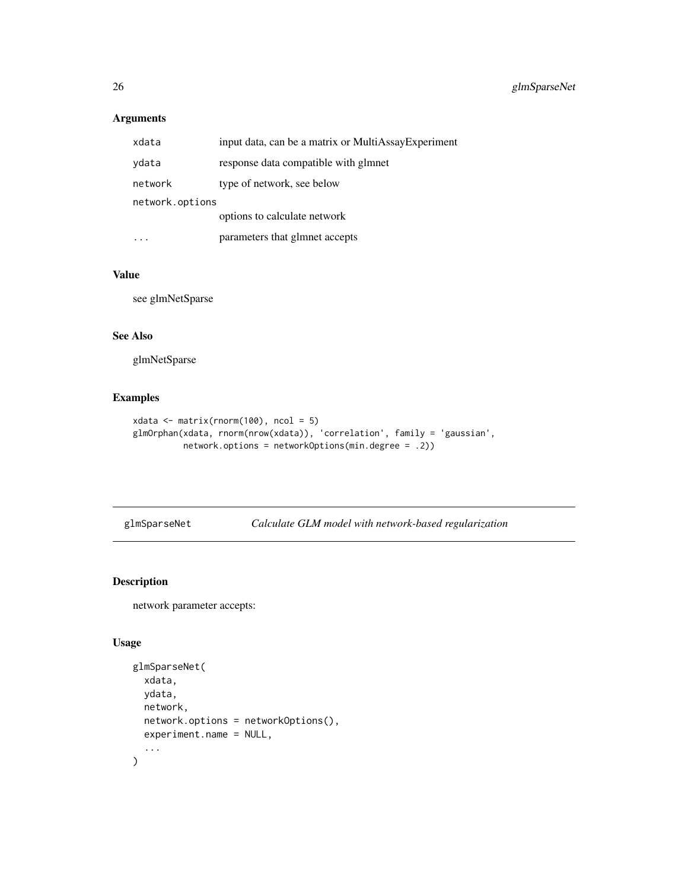## <span id="page-25-0"></span>Arguments

| xdata           | input data, can be a matrix or MultiAssayExperiment |  |
|-----------------|-----------------------------------------------------|--|
| ydata           | response data compatible with glmnet                |  |
| network         | type of network, see below                          |  |
| network.options |                                                     |  |
|                 | options to calculate network                        |  |
|                 | parameters that glmnet accepts                      |  |

## Value

see glmNetSparse

#### See Also

glmNetSparse

## Examples

```
xdata <- matrix(rnorm(100), ncol = 5)
glmOrphan(xdata, rnorm(nrow(xdata)), 'correlation', family = 'gaussian',
         network.options = networkOptions(min.degree = .2))
```
glmSparseNet *Calculate GLM model with network-based regularization*

## Description

network parameter accepts:

## Usage

```
glmSparseNet(
  xdata,
  ydata,
  network,
  network.options = networkOptions(),
  experiment.name = NULL,
  ...
\mathcal{L}
```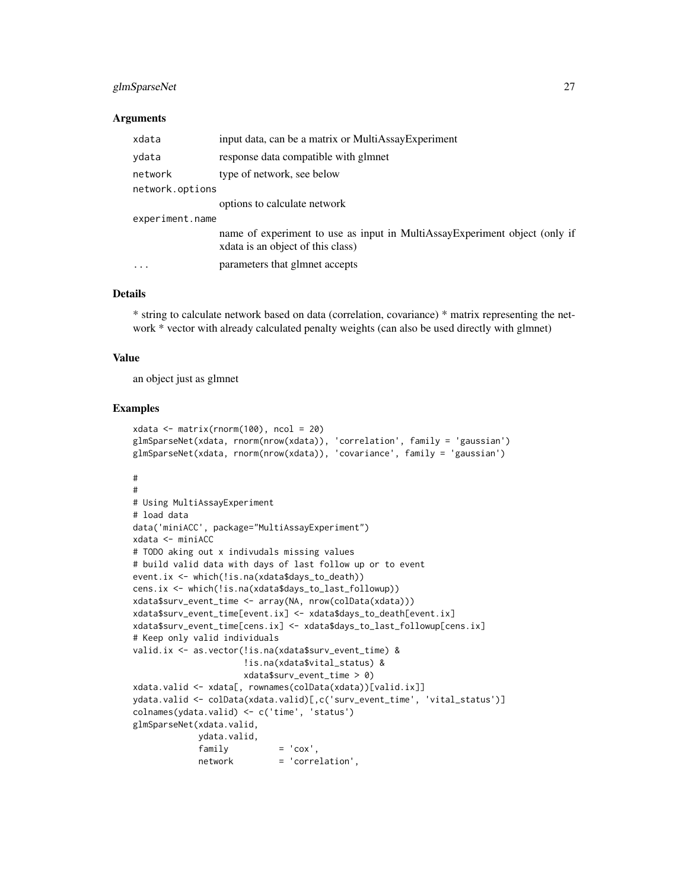#### glmSparseNet 27

#### Arguments

| xdata                   | input data, can be a matrix or MultiAssayExperiment                                                              |  |
|-------------------------|------------------------------------------------------------------------------------------------------------------|--|
| ydata                   | response data compatible with glmnet                                                                             |  |
| network                 | type of network, see below                                                                                       |  |
| network.options         |                                                                                                                  |  |
|                         | options to calculate network                                                                                     |  |
| experiment.name         |                                                                                                                  |  |
|                         | name of experiment to use as input in MultiAssayExperiment object (only if<br>x data is an object of this class) |  |
| $\cdot$ $\cdot$ $\cdot$ | parameters that glmnet accepts                                                                                   |  |

#### Details

\* string to calculate network based on data (correlation, covariance) \* matrix representing the network \* vector with already calculated penalty weights (can also be used directly with glmnet)

#### Value

an object just as glmnet

```
xdata \leftarrow matrix(rnorm(100), ncol = 20)glmSparseNet(xdata, rnorm(nrow(xdata)), 'correlation', family = 'gaussian')
glmSparseNet(xdata, rnorm(nrow(xdata)), 'covariance', family = 'gaussian')
#
#
# Using MultiAssayExperiment
# load data
data('miniACC', package="MultiAssayExperiment")
xdata <- miniACC
# TODO aking out x indivudals missing values
# build valid data with days of last follow up or to event
event.ix <- which(!is.na(xdata$days_to_death))
cens.ix <- which(!is.na(xdata$days_to_last_followup))
xdata$surv_event_time <- array(NA, nrow(colData(xdata)))
xdata$surv_event_time[event.ix] <- xdata$days_to_death[event.ix]
xdata$surv_event_time[cens.ix] <- xdata$days_to_last_followup[cens.ix]
# Keep only valid individuals
valid.ix <- as.vector(!is.na(xdata$surv_event_time) &
                      !is.na(xdata$vital_status) &
                     xdata$surv_event_time > 0)
xdata.valid <- xdata[, rownames(colData(xdata))[valid.ix]]
ydata.valid <- colData(xdata.valid)[,c('surv_event_time', 'vital_status')]
colnames(ydata.valid) <- c('time', 'status')
glmSparseNet(xdata.valid,
            ydata.valid,
             family = 'cov',network = 'correlation',
```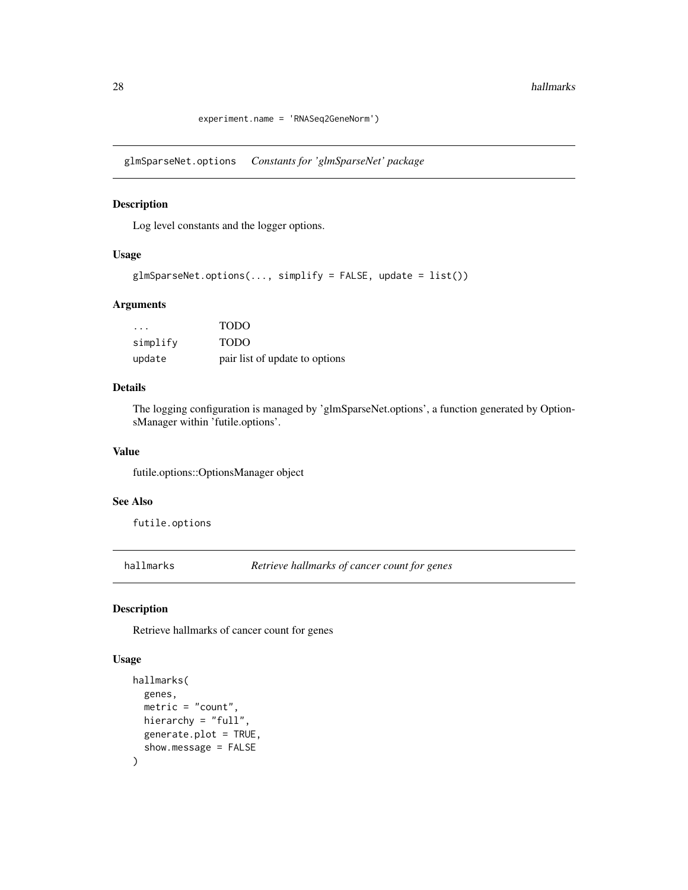experiment.name = 'RNASeq2GeneNorm')

<span id="page-27-0"></span>glmSparseNet.options *Constants for 'glmSparseNet' package*

## Description

Log level constants and the logger options.

#### Usage

```
glmSparseNet.options(..., simplify = FALSE, update = list())
```
#### Arguments

| .        | <b>TODO</b>                    |
|----------|--------------------------------|
| simplify | <b>TODO</b>                    |
| update   | pair list of update to options |

#### Details

The logging configuration is managed by 'glmSparseNet.options', a function generated by OptionsManager within 'futile.options'.

#### Value

futile.options::OptionsManager object

#### See Also

futile.options

hallmarks *Retrieve hallmarks of cancer count for genes*

## Description

Retrieve hallmarks of cancer count for genes

#### Usage

```
hallmarks(
  genes,
  metric = "count",
  hierarchy = "full",
  generate.plot = TRUE,
  show.message = FALSE
\mathcal{E}
```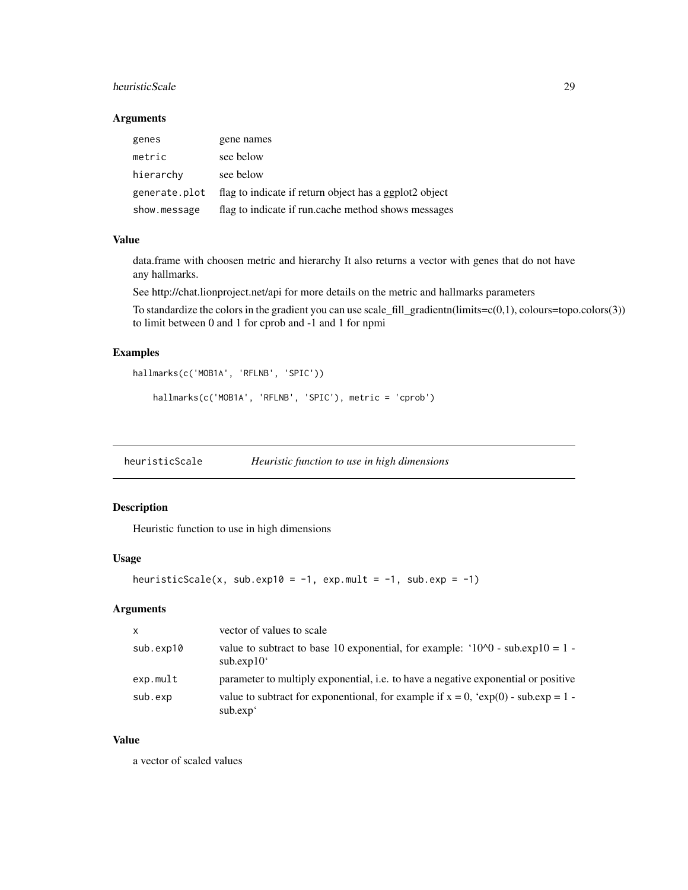#### <span id="page-28-0"></span>heuristicScale 29

#### Arguments

| genes         | gene names                                             |
|---------------|--------------------------------------------------------|
| metric        | see below                                              |
| hierarchy     | see below                                              |
| generate.plot | flag to indicate if return object has a ggplot2 object |
| show.message  | flag to indicate if run.cache method shows messages    |

#### Value

data.frame with choosen metric and hierarchy It also returns a vector with genes that do not have any hallmarks.

See http://chat.lionproject.net/api for more details on the metric and hallmarks parameters

To standardize the colors in the gradient you can use scale\_fill\_gradientn(limits=c(0,1), colours=topo.colors(3)) to limit between 0 and 1 for cprob and -1 and 1 for npmi

## Examples

```
hallmarks(c('MOB1A', 'RFLNB', 'SPIC'))
    hallmarks(c('MOB1A', 'RFLNB', 'SPIC'), metric = 'cprob')
```
heuristicScale *Heuristic function to use in high dimensions*

## Description

Heuristic function to use in high dimensions

#### Usage

```
heuristicScale(x, sub.exp10 = -1, exp.mult = -1, sub.exp = -1)
```
## Arguments

| $\mathsf{x}$ | vector of values to scale                                                                                     |
|--------------|---------------------------------------------------------------------------------------------------------------|
| sub.exp10    | value to subtract to base 10 exponential, for example: ' $10^{\circ}$ O - sub.exp10 = 1 -<br>subexp10'        |
| exp.mult     | parameter to multiply exponential, <i>i.e.</i> to have a negative exponential or positive                     |
| sub.exp      | value to subtract for exponentional, for example if $x = 0$ , 'exp(0) - sub.exp = 1 -<br>sub.exp <sup>4</sup> |

## Value

a vector of scaled values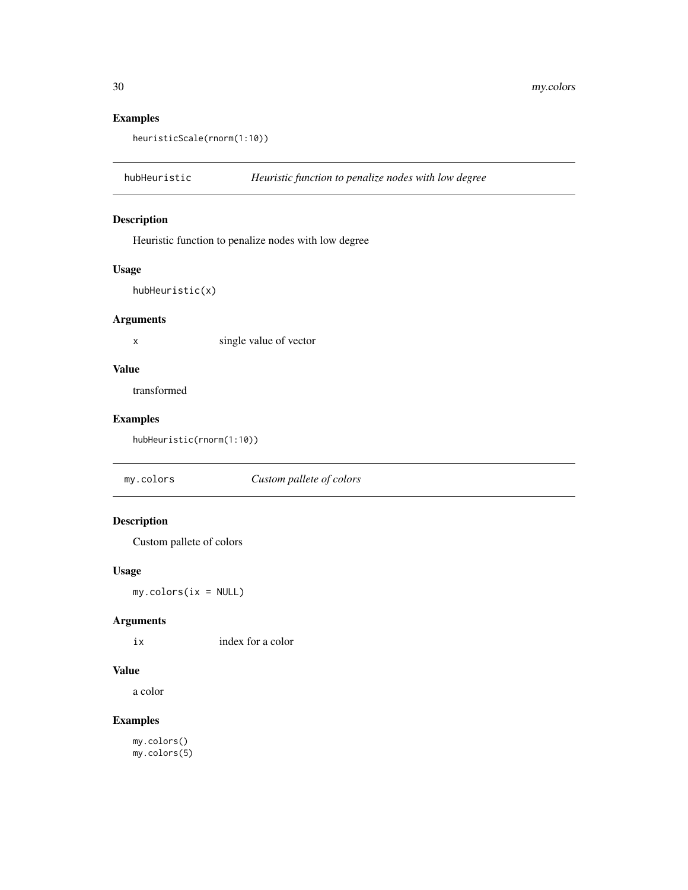## Examples

heuristicScale(rnorm(1:10))

hubHeuristic *Heuristic function to penalize nodes with low degree*

## Description

Heuristic function to penalize nodes with low degree

#### Usage

hubHeuristic(x)

#### Arguments

x single value of vector

## Value

transformed

## Examples

hubHeuristic(rnorm(1:10))

my.colors *Custom pallete of colors*

## Description

Custom pallete of colors

#### Usage

my.colors(ix = NULL)

## Arguments

ix index for a color

#### Value

a color

## Examples

my.colors() my.colors(5)

<span id="page-29-0"></span>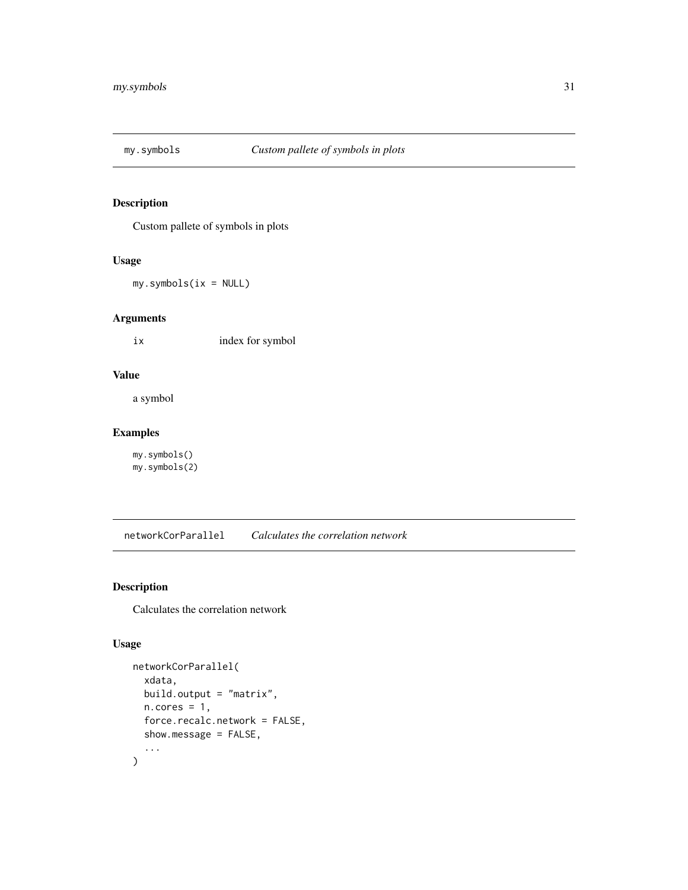<span id="page-30-0"></span>

Custom pallete of symbols in plots

#### Usage

my.symbols(ix = NULL)

#### Arguments

ix index for symbol

#### Value

a symbol

## Examples

my.symbols() my.symbols(2)

networkCorParallel *Calculates the correlation network*

## Description

Calculates the correlation network

## Usage

```
networkCorParallel(
  xdata,
 build.output = "matrix",
 n.core = 1,
 force.recalc.network = FALSE,
  show.message = FALSE,
  ...
\mathcal{L}
```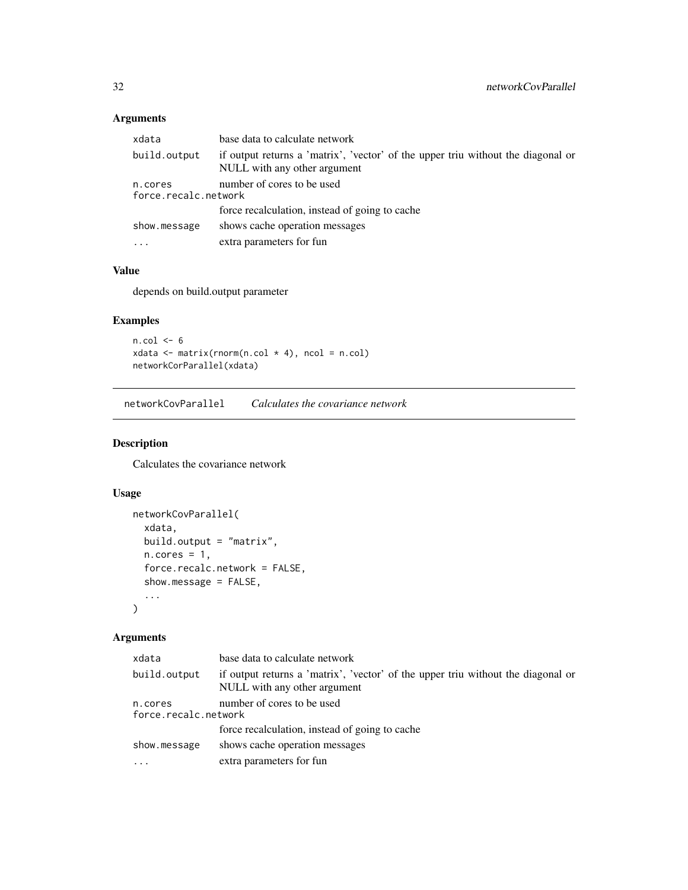## <span id="page-31-0"></span>Arguments

| xdata                                                         | base data to calculate network                                                                                   |
|---------------------------------------------------------------|------------------------------------------------------------------------------------------------------------------|
| build.output                                                  | if output returns a 'matrix', 'vector' of the upper triu without the diagonal or<br>NULL with any other argument |
| number of cores to be used<br>n.cores<br>force.recalc.network |                                                                                                                  |
|                                                               | force recalculation, instead of going to cache                                                                   |
| show.message                                                  | shows cache operation messages                                                                                   |
| $\cdot$                                                       | extra parameters for fun                                                                                         |

#### Value

depends on build.output parameter

## Examples

```
n.col <- 6
xdata <- matrix(rnorm(n.col * 4), ncol = n.col)
networkCorParallel(xdata)
```
networkCovParallel *Calculates the covariance network*

## Description

Calculates the covariance network

## Usage

```
networkCovParallel(
  xdata,
  build.output = "matrix",
  n.core = 1,
  force.recalc.network = FALSE,
  show.message = FALSE,
  ...
\mathcal{L}
```
## Arguments

| xdata                           | base data to calculate network                                                                                   |  |
|---------------------------------|------------------------------------------------------------------------------------------------------------------|--|
| build.output                    | if output returns a 'matrix', 'vector' of the upper triu without the diagonal or<br>NULL with any other argument |  |
| n.cores<br>force.recalc.network | number of cores to be used                                                                                       |  |
|                                 | force recalculation, instead of going to cache                                                                   |  |
| show.message                    | shows cache operation messages                                                                                   |  |
| $\cdots$                        | extra parameters for fun                                                                                         |  |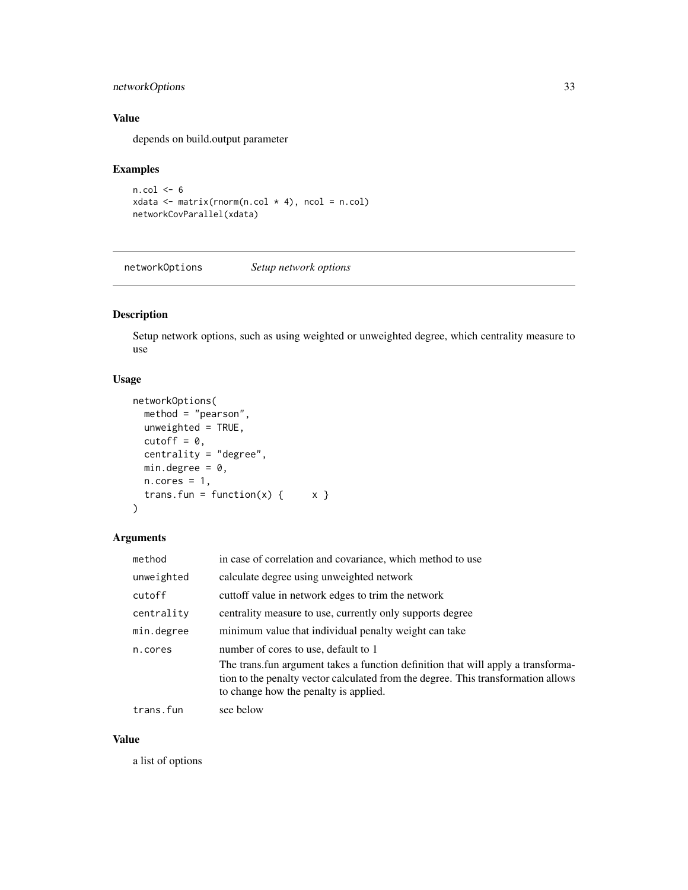## <span id="page-32-0"></span>networkOptions 33

## Value

depends on build.output parameter

#### Examples

```
n.col < -6xdata \leq matrix(rnorm(n.col \neq 4), ncol = n.col)
networkCovParallel(xdata)
```
networkOptions *Setup network options*

## Description

Setup network options, such as using weighted or unweighted degree, which centrality measure to use

#### Usage

```
networkOptions(
 method = "pearson",
 unweighted = TRUE,
 cutoff = 0,
  centrality = "degree",
 min.degree = 0,
 n.cores = 1,
  trans.fun = function(x) { x }
\mathcal{L}
```
## Arguments

| method     | in case of correlation and covariance, which method to use                                                                                                                                                      |
|------------|-----------------------------------------------------------------------------------------------------------------------------------------------------------------------------------------------------------------|
| unweighted | calculate degree using unweighted network                                                                                                                                                                       |
| cutoff     | cuttoff value in network edges to trim the network                                                                                                                                                              |
| centrality | centrality measure to use, currently only supports degree                                                                                                                                                       |
| min.degree | minimum value that individual penalty weight can take                                                                                                                                                           |
| n.cores    | number of cores to use, default to 1                                                                                                                                                                            |
|            | The trans. fun argument takes a function definition that will apply a transforma-<br>tion to the penalty vector calculated from the degree. This transformation allows<br>to change how the penalty is applied. |
| trans.fun  | see below                                                                                                                                                                                                       |

#### Value

a list of options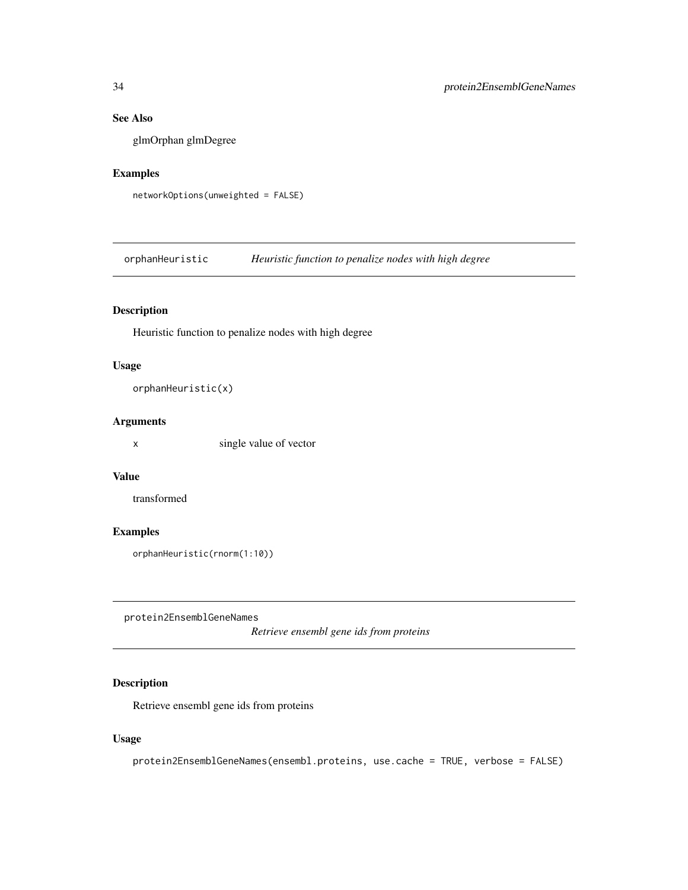## <span id="page-33-0"></span>See Also

glmOrphan glmDegree

## Examples

networkOptions(unweighted = FALSE)

orphanHeuristic *Heuristic function to penalize nodes with high degree*

## Description

Heuristic function to penalize nodes with high degree

## Usage

orphanHeuristic(x)

#### Arguments

x single value of vector

## Value

transformed

## Examples

```
orphanHeuristic(rnorm(1:10))
```
protein2EnsemblGeneNames

*Retrieve ensembl gene ids from proteins*

## Description

Retrieve ensembl gene ids from proteins

#### Usage

protein2EnsemblGeneNames(ensembl.proteins, use.cache = TRUE, verbose = FALSE)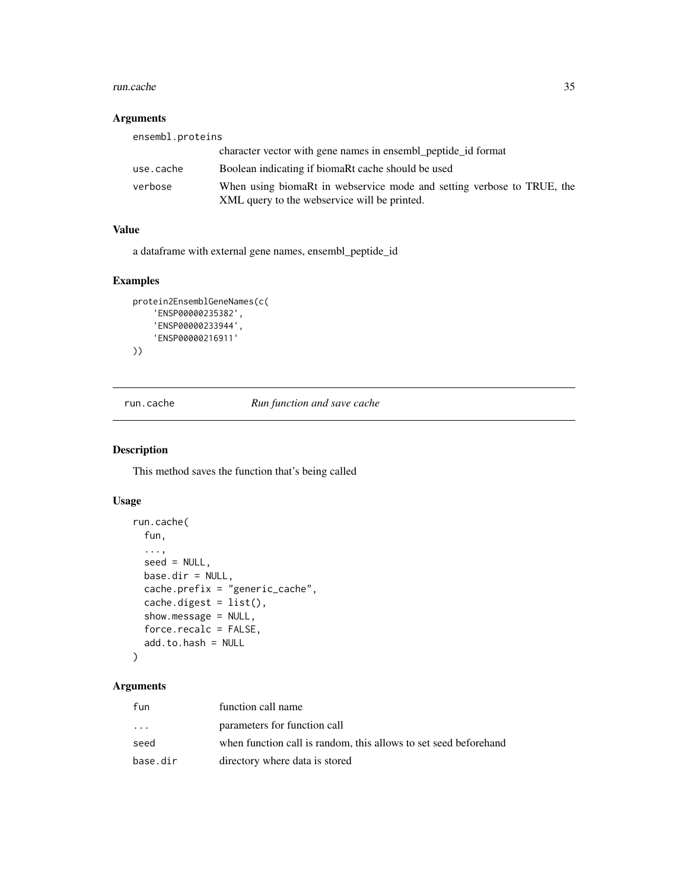#### <span id="page-34-0"></span>run.cache 35

#### Arguments

| ensembl.proteins |                                                                                                                        |
|------------------|------------------------------------------------------------------------------------------------------------------------|
|                  | character vector with gene names in ensembl_peptide_id format                                                          |
| use.cache        | Boolean indicating if biomaRt cache should be used                                                                     |
| verbose          | When using biomaRt in webservice mode and setting verbose to TRUE, the<br>XML query to the webservice will be printed. |

## Value

a dataframe with external gene names, ensembl\_peptide\_id

## Examples

```
protein2EnsemblGeneNames(c(
    'ENSP00000235382',
    'ENSP00000233944',
    'ENSP00000216911'
))
```
run.cache *Run function and save cache*

## Description

This method saves the function that's being called

## Usage

```
run.cache(
  fun,
  ...,
  seed = NULL,
 base.dir = NULL,cache.prefix = "generic_cache",
  cache.digest = list(),
  show.message = NULL,
  force.recalc = FALSE,
  add.to.hash = NULL
\mathcal{L}
```
## Arguments

| fun       | function call name                                               |
|-----------|------------------------------------------------------------------|
| $\ddotsc$ | parameters for function call                                     |
| seed      | when function call is random, this allows to set seed beforehand |
| base.dir  | directory where data is stored                                   |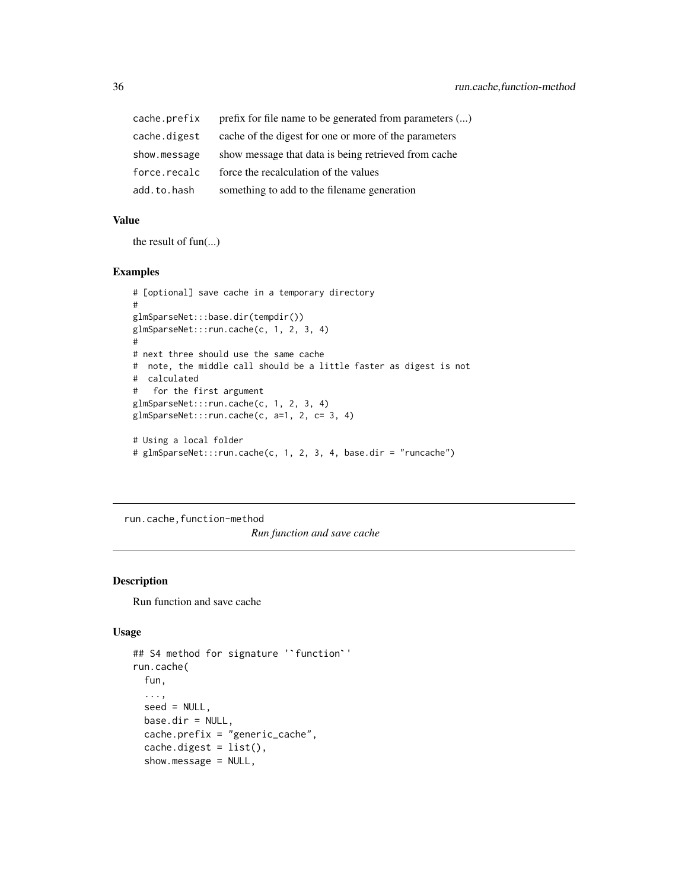<span id="page-35-0"></span>

| cache.prefix | prefix for file name to be generated from parameters () |
|--------------|---------------------------------------------------------|
| cache.digest | cache of the digest for one or more of the parameters   |
| show.message | show message that data is being retrieved from cache    |
| force.recalc | force the recalculation of the values                   |
| add.to.hash  | something to add to the filename generation             |

## Value

the result of fun(...)

#### Examples

```
# [optional] save cache in a temporary directory
#
glmSparseNet:::base.dir(tempdir())
glmSparseNet:::run.cache(c, 1, 2, 3, 4)
#
# next three should use the same cache
# note, the middle call should be a little faster as digest is not
# calculated
# for the first argument
glmSparseNet:::run.cache(c, 1, 2, 3, 4)
glmSparseNet:::run.cache(c, a=1, 2, c= 3, 4)
# Using a local folder
# glmSparseNet:::run.cache(c, 1, 2, 3, 4, base.dir = "runcache")
```
run.cache, function-method *Run function and save cache*

#### Description

Run function and save cache

#### Usage

```
## S4 method for signature '`function`'
run.cache(
  fun,
  ...,
  seed = NULL,
 base.dir = NULL,cache.prefix = "generic_cache",
  cache.digest = list(),
  show.message = NULL,
```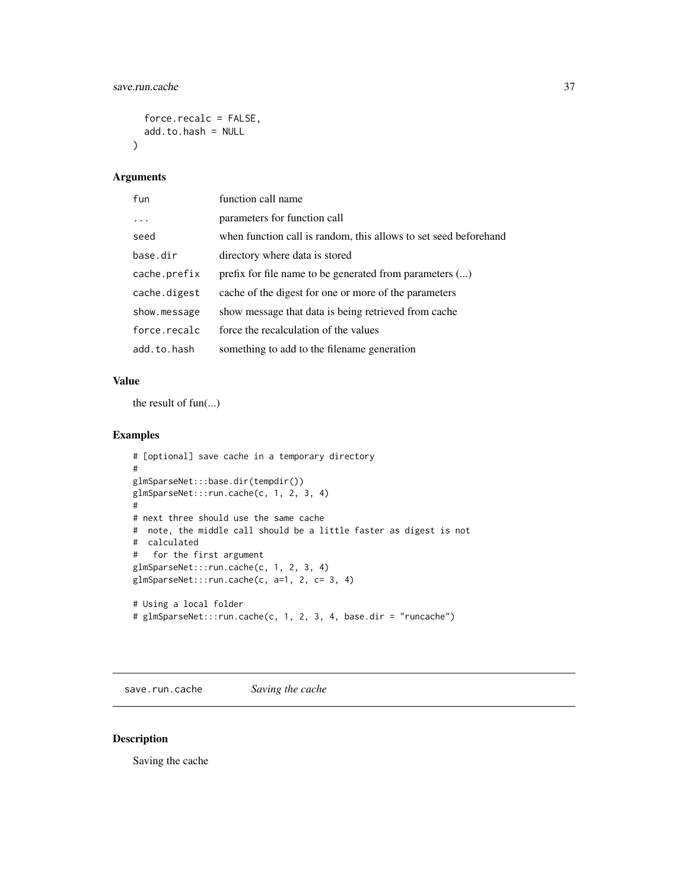```
force.recalc = FALSE,
  add.to.hash = NULL
\lambda
```
#### Arguments

| fun          | function call name                                               |
|--------------|------------------------------------------------------------------|
| $\cdots$     | parameters for function call                                     |
| seed         | when function call is random, this allows to set seed beforehand |
| base.dir     | directory where data is stored                                   |
| cache.prefix | prefix for file name to be generated from parameters ()          |
| cache.digest | cache of the digest for one or more of the parameters            |
| show.message | show message that data is being retrieved from cache             |
| force.recalc | force the recalculation of the values                            |
| add.to.hash  | something to add to the filename generation                      |

#### Value

the result of fun(...)

## Examples

```
# [optional] save cache in a temporary directory
#
glmSparseNet:::base.dir(tempdir())
glmSparseNet:::run.cache(c, 1, 2, 3, 4)
#
# next three should use the same cache
# note, the middle call should be a little faster as digest is not
# calculated
# for the first argument
glmSparseNet:::run.cache(c, 1, 2, 3, 4)
glmSparseNet:::run.cache(c, a=1, 2, c= 3, 4)
# Using a local folder
# glmSparseNet:::run.cache(c, 1, 2, 3, 4, base.dir = "runcache")
```
save.run.cache *Saving the cache*

## Description

Saving the cache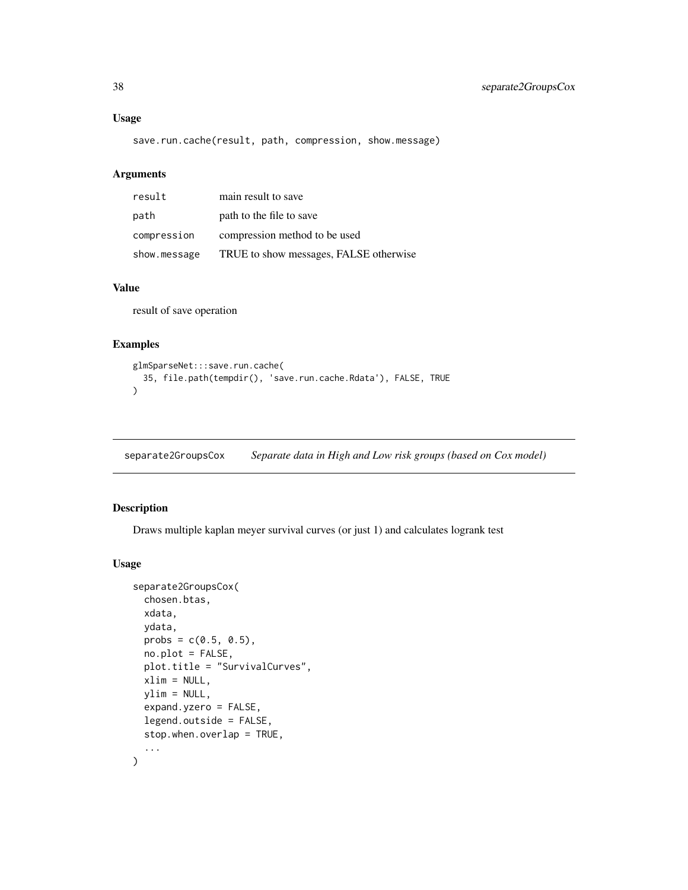#### <span id="page-37-0"></span>Usage

save.run.cache(result, path, compression, show.message)

#### Arguments

| result       | main result to save                    |
|--------------|----------------------------------------|
| path         | path to the file to save               |
| compression  | compression method to be used          |
| show.message | TRUE to show messages, FALSE otherwise |

#### Value

result of save operation

#### Examples

```
glmSparseNet:::save.run.cache(
  35, file.path(tempdir(), 'save.run.cache.Rdata'), FALSE, TRUE
)
```
separate2GroupsCox *Separate data in High and Low risk groups (based on Cox model)*

## Description

Draws multiple kaplan meyer survival curves (or just 1) and calculates logrank test

#### Usage

```
separate2GroupsCox(
 chosen.btas,
 xdata,
 ydata,
 probs = c(0.5, 0.5),
 no.plot = FALSE,
 plot.title = "SurvivalCurves",
 xlim = NULL,
 vlim = NULL,
 expand.yzero = FALSE,
  legend.outside = FALSE,
  stop.when.overlap = TRUE,
  ...
\mathcal{L}
```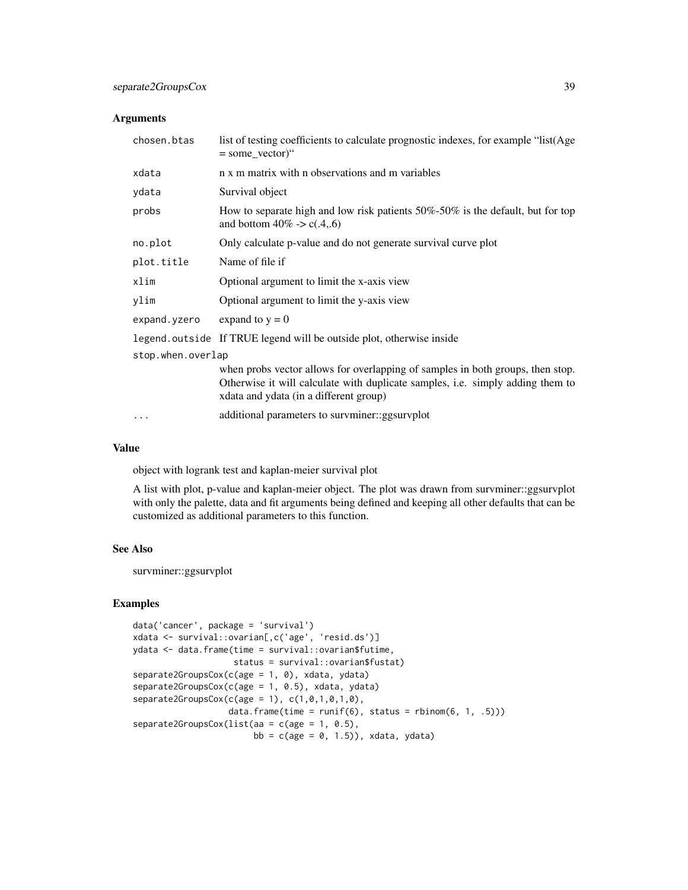#### Arguments

| chosen.btas       | list of testing coefficients to calculate prognostic indexes, for example "list(Age<br>$=$ some_vector)"                                                                                                   |  |
|-------------------|------------------------------------------------------------------------------------------------------------------------------------------------------------------------------------------------------------|--|
| xdata             | n x m matrix with n observations and m variables                                                                                                                                                           |  |
| ydata             | Survival object                                                                                                                                                                                            |  |
| probs             | How to separate high and low risk patients $50\% - 50\%$ is the default, but for top<br>and bottom $40\% > c(.4, .6)$                                                                                      |  |
| no.plot           | Only calculate p-value and do not generate survival curve plot                                                                                                                                             |  |
| plot.title        | Name of file if                                                                                                                                                                                            |  |
| xlim              | Optional argument to limit the x-axis view                                                                                                                                                                 |  |
| ylim              | Optional argument to limit the y-axis view                                                                                                                                                                 |  |
| expand.yzero      | expand to $y = 0$                                                                                                                                                                                          |  |
|                   | legend. outside If TRUE legend will be outside plot, otherwise inside                                                                                                                                      |  |
| stop.when.overlap |                                                                                                                                                                                                            |  |
|                   | when probs vector allows for overlapping of samples in both groups, then stop.<br>Otherwise it will calculate with duplicate samples, i.e. simply adding them to<br>xdata and ydata (in a different group) |  |
|                   | additional parameters to survminer::ggsurvplot                                                                                                                                                             |  |

#### Value

object with logrank test and kaplan-meier survival plot

A list with plot, p-value and kaplan-meier object. The plot was drawn from survminer::ggsurvplot with only the palette, data and fit arguments being defined and keeping all other defaults that can be customized as additional parameters to this function.

#### See Also

survminer::ggsurvplot

```
data('cancer', package = 'survival')
xdata <- survival::ovarian[,c('age', 'resid.ds')]
ydata <- data.frame(time = survival::ovarian$futime,
                    status = survival::ovarian$fustat)
separate2GroupsCox(c(age = 1, 0), xdata, ydata)
separate2GroupsCox(c(age = 1, 0.5), xdata, ydata)
separate2GroupsCox(c(age = 1), c(1, 0, 1, 0, 1, 0),data.frame(time = runif(6), status = rbinom(6, 1, .5)))
separate2GroupsCox(list(aa = c(age = 1, 0.5),
                        bb = c(age = 0, 1.5), xdata, ydata)
```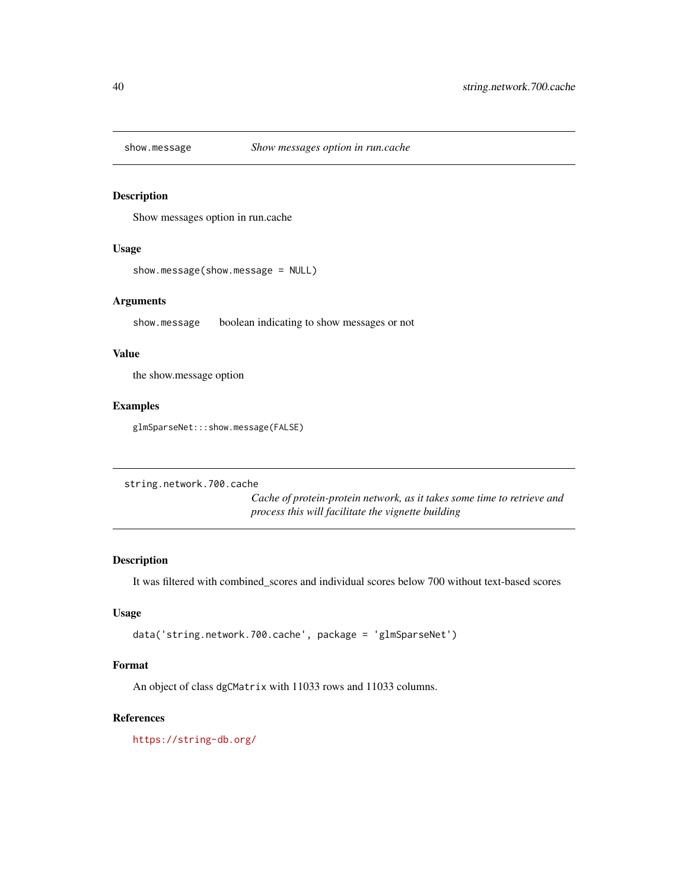<span id="page-39-0"></span>

Show messages option in run.cache

#### Usage

```
show.message(show.message = NULL)
```
#### Arguments

show.message boolean indicating to show messages or not

#### Value

the show.message option

#### Examples

glmSparseNet:::show.message(FALSE)

```
string.network.700.cache
```
*Cache of protein-protein network, as it takes some time to retrieve and process this will facilitate the vignette building*

#### Description

It was filtered with combined\_scores and individual scores below 700 without text-based scores

#### Usage

```
data('string.network.700.cache', package = 'glmSparseNet')
```
#### Format

An object of class dgCMatrix with 11033 rows and 11033 columns.

#### References

<https://string-db.org/>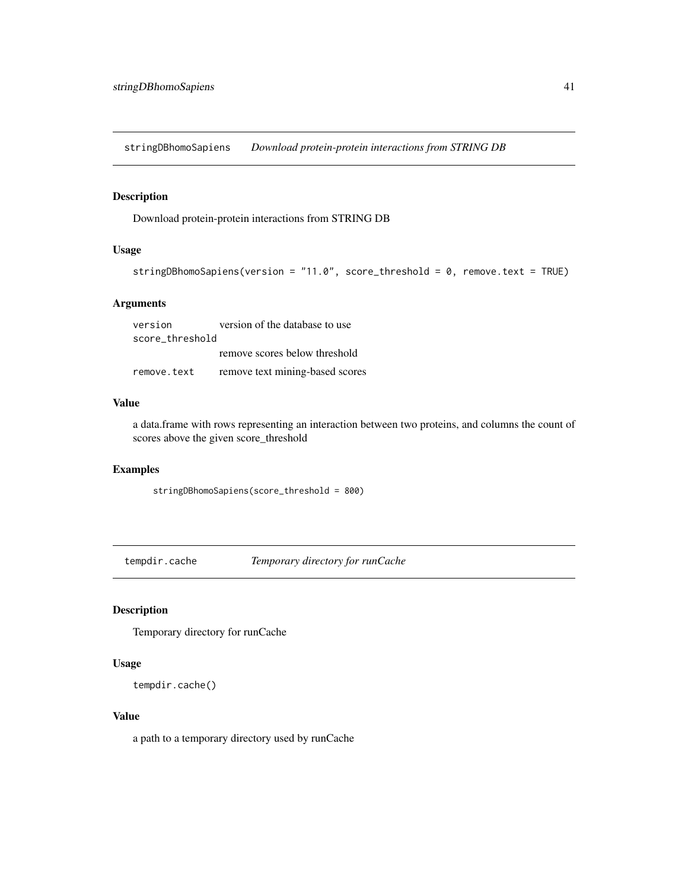<span id="page-40-0"></span>stringDBhomoSapiens *Download protein-protein interactions from STRING DB*

## Description

Download protein-protein interactions from STRING DB

#### Usage

```
stringDBhomoSapiens(version = "11.0", score_threshold = 0, remove.text = TRUE)
```
## Arguments

| version         | version of the database to use  |  |
|-----------------|---------------------------------|--|
| score threshold |                                 |  |
|                 | remove scores below threshold   |  |
| remove.text     | remove text mining-based scores |  |

#### Value

a data.frame with rows representing an interaction between two proteins, and columns the count of scores above the given score\_threshold

#### Examples

stringDBhomoSapiens(score\_threshold = 800)

tempdir.cache *Temporary directory for runCache*

## Description

Temporary directory for runCache

#### Usage

```
tempdir.cache()
```
#### Value

a path to a temporary directory used by runCache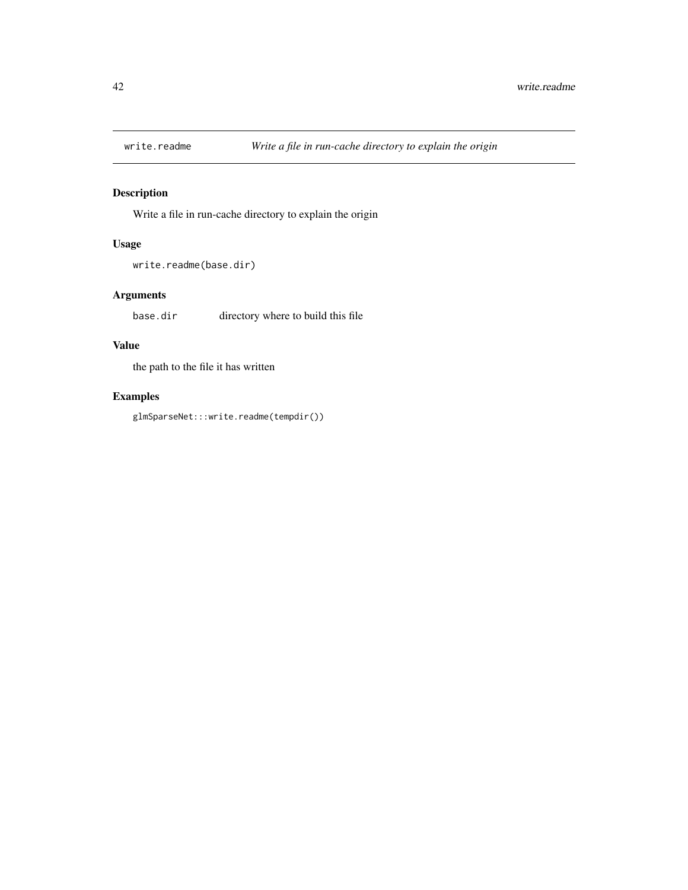<span id="page-41-0"></span>

Write a file in run-cache directory to explain the origin

## Usage

```
write.readme(base.dir)
```
## Arguments

base.dir directory where to build this file

## Value

the path to the file it has written

## Examples

glmSparseNet:::write.readme(tempdir())